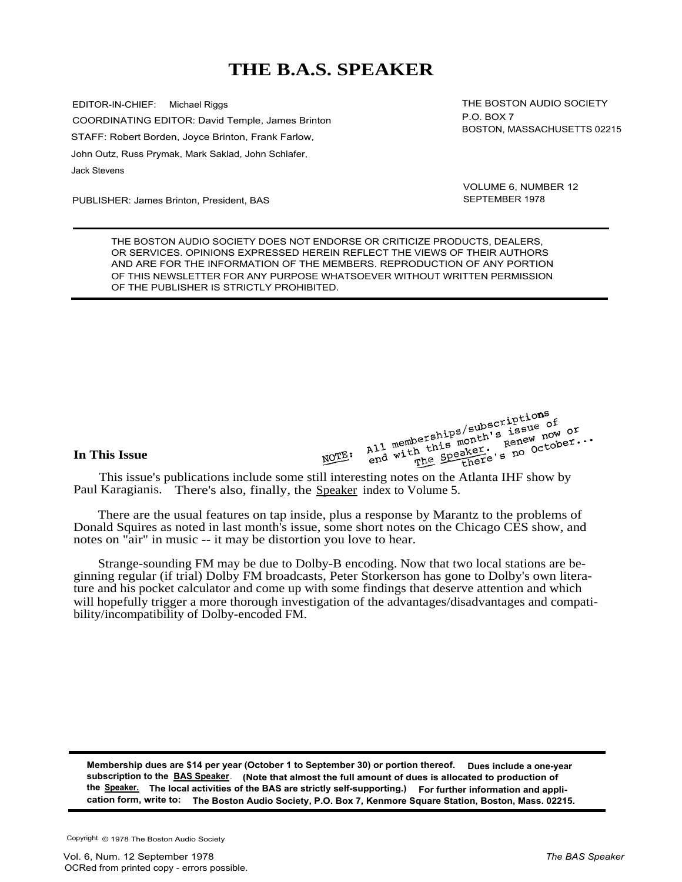# **THE B.A.S. SPEAKER**

EDITOR-IN-CHIEF: Michael Riggs COORDINATING EDITOR: David Temple, James Brinton STAFF: Robert Borden, Joyce Brinton, Frank Farlow, John Outz, Russ Prymak, Mark Saklad, John Schlafer, Jack Stevens

PUBLISHER: James Brinton, President, BAS

THE BOSTON AUDIO SOCIETY P.O. BOX 7 BOSTON, MASSACHUSETTS 02215

VOLUME 6, NUMBER 12 SEPTEMBER 1978

THE BOSTON AUDIO SOCIETY DOES NOT ENDORSE OR CRITICIZE PRODUCTS, DEALERS, OR SERVICES. OPINIONS EXPRESSED HEREIN REFLECT THE VIEWS OF THEIR AUTHORS AND ARE FOR THE INFORMATION OF THE MEMBERS. REPRODUCTION OF ANY PORTION OF THIS NEWSLETTER FOR ANY PURPOSE WHATSOEVER WITHOUT WRITTEN PERMISSION OF THE PUBLISHER IS STRICTLY PROHIBITED.

## **In This Issue**

All memberships/subscriptions<br>All memberships/subscriptions<br>and with the Speaker, s no Octo **his Issue**<br> **This issue's publications include some still interesting notes on the Atlanta IHF show by**<br> **Example 2018**<br> **Example 2019**<br> **Example 2028**<br> **Example 2028**<br> **Example 2028**<br> **Example 2028**<br> **Example 2028**<br> **Ex** 

Paul Karagianis. There's also, finally, the Speaker index to Volume 5.

There are the usual features on tap inside, plus a response by Marantz to the problems of Donald Squires as noted in last month's issue, some short notes on the Chicago CES show, and notes on "air" in music -- it may be distortion you love to hear.

Strange-sounding FM may be due to Dolby-B encoding. Now that two local stations are beginning regular (if trial) Dolby FM broadcasts, Peter Storkerson has gone to Dolby's own literature and his pocket calculator and come up with some findings that deserve attention and which will hopefully trigger a more thorough investigation of the advantages/disadvantages and compatibility/incompatibility of Dolby-encoded FM.

**Membership dues are \$14 per year (October 1 to September 30) or portion thereof. Dues include a one-year subscription to the BAS Speaker. (Note that almost the full amount of dues is allocated to production of the Speaker. The local activities of the BAS are strictly self-supporting.) For further information and application form, write to: The Boston Audio Society, P.O. Box 7, Kenmore Square Station, Boston, Mass. 02215.**

Copyright © 1978 The Boston Audio Society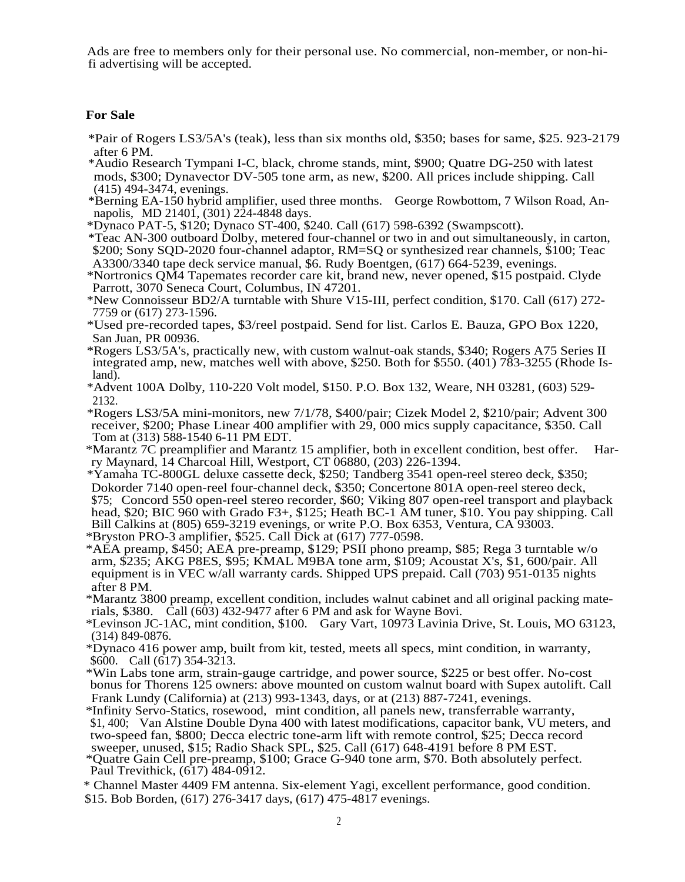Ads are free to members only for their personal use. No commercial, non-member, or non-hifi advertising will be accepted.

## **For Sale**

- \*Pair of Rogers LS3/5A's (teak), less than six months old, \$350; bases for same, \$25. 923-2179 after 6 PM.
- \*Audio Research Tympani I-C, black, chrome stands, mint, \$900; Quatre DG-250 with latest mods, \$300; Dynavector DV-505 tone arm, as new, \$200. All prices include shipping. Call (415) 494-3474, evenings.
- \*Berning EA-150 hybrid amplifier, used three months. George Rowbottom, 7 Wilson Road, Annapolis, MD 21401, (301) 224-4848 days.
- \*Dynaco PAT-5, \$120; Dynaco ST-400, \$240. Call (617) 598-6392 (Swampscott).
- \*Teac AN-300 outboard Dolby, metered four-channel or two in and out simultaneously, in carton, \$200; Sony SQD-2020 four-channel adaptor, RM=SQ or synthesized rear channels, \$100; Teac A3300/3340 tape deck service manual, \$6. Rudy Boentgen, (617) 664-5239, evenings.
- \*Nortronics QM4 Tapemates recorder care kit, brand new, never opened, \$15 postpaid. Clyde Parrott, 3070 Seneca Court, Columbus, IN 47201.
- \*New Connoisseur BD2/A turntable with Shure V15-III, perfect condition, \$170. Call (617) 272- 7759 or (617) 273-1596.
- \*Used pre-recorded tapes, \$3/reel postpaid. Send for list. Carlos E. Bauza, GPO Box 1220, San Juan, PR 00936.
- \*Rogers LS3/5A's, practically new, with custom walnut-oak stands, \$340; Rogers A75 Series II integrated amp, new, matches well with above, \$250. Both for \$550. (401) 783-3255 (Rhode Is $l$ and $\overline{l}$ .
- \*Advent 100A Dolby, 110-220 Volt model, \$150. P.O. Box 132, Weare, NH 03281, (603) 529- 2132.

\*Rogers LS3/5A mini-monitors, new 7/1/78, \$400/pair; Cizek Model 2, \$210/pair; Advent 300 receiver, \$200; Phase Linear 400 amplifier with 29, 000 mics supply capacitance, \$350. Call Tom at (313) 588-1540 6-11 PM EDT.

\*Marantz 7C preamplifier and Marantz 15 amplifier, both in excellent condition, best offer. Harry Maynard, 14 Charcoal Hill, Westport, CT 06880, (203) 226-1394.

\*Yamaha TC-800GL deluxe cassette deck, \$250; Tandberg 3541 open-reel stereo deck, \$350; Dokorder 7140 open-reel four-channel deck, \$350; Concertone 801A open-reel stereo deck, \$75; Concord 550 open-reel stereo recorder, \$60; Viking 807 open-reel transport and playback head, \$20; BIC 960 with Grado F3+, \$125; Heath BC-1 AM tuner, \$10. You pay shipping. Call Bill Calkins at (805) 659-3219 evenings, or write P.O. Box 6353, Ventura, CA 93003.

\*Bryston PRO-3 amplifier, \$525. Call Dick at (617) 777-0598.

\*AEA preamp, \$450; AEA pre-preamp, \$129; PSII phono preamp, \$85; Rega 3 turntable w/o arm, \$235; AKG P8ES, \$95; KMAL M9BA tone arm, \$109; Acoustat X's, \$1, 600/pair. All equipment is in VEC w/all warranty cards. Shipped UPS prepaid. Call (703) 951-0135 nights after 8 PM.

\*Marantz 3800 preamp, excellent condition, includes walnut cabinet and all original packing materials, \$380.  $\hat{C}$ all (60 $\hat{O}$ 3) 432-9477 after 6 PM and ask for Wayne Bovi.

\*Levinson JC-1AC, mint condition, \$100. Gary Vart, 10973 Lavinia Drive, St. Louis, MO 63123, (314) 849-0876.

- \*Dynaco 416 power amp, built from kit, tested, meets all specs, mint condition, in warranty, \$600. Call  $(617)$  354-3213.
- \*Win Labs tone arm, strain-gauge cartridge, and power source, \$225 or best offer. No-cost bonus for Thorens 125 owners: above mounted on custom walnut board with Supex autolift. Call Frank Lundy (California) at (213) 993-1343, days, or at (213) 887-7241, evenings.

\*Infinity Servo-Statics, rosewood, mint condition, all panels new, transferrable warranty, \$1, 400; Van Alstine Double Dyna 400 with latest modifications, capacitor bank, VU meters, and two-speed fan, \$800; Decca electric tone-arm lift with remote control, \$25; Decca record sweeper, unused, \$15; Radio Shack SPL, \$25. Call (617) 648-4191 before 8 PM EST.

\*Quatre Gain Cell pre-preamp, \$100; Grace G-940 tone arm, \$70. Both absolutely perfect. Paul Trevithick,  $(617)$  484-0912.

\* Channel Master 4409 FM antenna. Six-element Yagi, excellent performance, good condition. \$15. Bob Borden, (617) 276-3417 days, (617) 475-4817 evenings.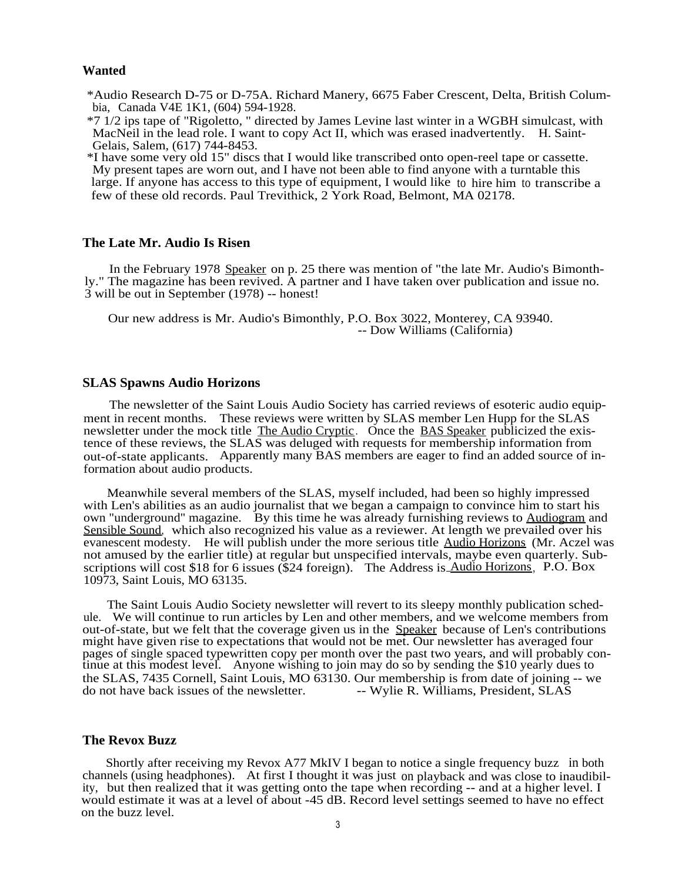#### **Wanted**

\*Audio Research D-75 or D-75A. Richard Manery, 6675 Faber Crescent, Delta, British Columbia, Canada V4E 1K1, (604) 594-1928.

\*7 1/2 ips tape of "Rigoletto, " directed by James Levine last winter in a WGBH simulcast, with MacNeil in the lead role. I want to copy Act II, which was erased inadvertently. H. Saint-Gelais, Salem, (617) 744-8453.

\*I have some very old 15" discs that I would like transcribed onto open-reel tape or cassette. My present tapes are worn out, and I have not been able to find anyone with a turntable this large. If anyone has access to this type of equipment, I would like to hire him to transcribe a few of these old records. Paul Trevithick, 2 York Road, Belmont, MA 02178.

## **The Late Mr. Audio Is Risen**

In the February 1978 Speaker on p. 25 there was mention of "the late Mr. Audio's Bimonthly." The magazine has been revived. A partner and I have taken over publication and issue no. 3 will be out in September (1978) -- honest!

Our new address is Mr. Audio's Bimonthly, P.O. Box 3022, Monterey, CA 93940. -- Dow Williams (California)

## **SLAS Spawns Audio Horizons**

The newsletter of the Saint Louis Audio Society has carried reviews of esoteric audio equipment in recent months. These reviews were written by SLAS member Len Hupp for the SLAS newsletter under the mock title The Audio Cryptic. Once the BAS Speaker publicized the existence of these reviews, the SLAS was deluged with requests for membership information from out-of-state applicants. Apparently many BAS members are eager to find an added source of information about audio products.

Meanwhile several members of the SLAS, myself included, had been so highly impressed with Len's abilities as an audio journalist that we began a campaign to convince him to start his own "underground" magazine. By this time he was already furnishing reviews to Audiogram and Sensible Sound, which also recognized his value as a reviewer. At length we prevailed over his evanescent modesty. He will publish under the more serious title Audio Horizons (Mr. Aczel was not amused by the earlier title) at regular but unspecified intervals, maybe even quarterly. Subscriptions will cost \$18 for 6 issues (\$24 foreign). The Address is Audio Horizons, P.O. Box 10973, Saint Louis, MO 63135.

The Saint Louis Audio Society newsletter will revert to its sleepy monthly publication schedule. We will continue to run articles by Len and other members, and we welcome members from out-of-state, but we felt that the coverage given us in the Speaker because of Len's contributions might have given rise to expectations that would not be met. Our newsletter has averaged four pages of single spaced typewritten copy per month over the past two years, and will probably continue at this modest level. Anyone wishing to join may do so by sending the \$10 yearly dues to the SLAS, 7435 Cornell, Saint Louis, MO 63130. Our membership is from date of joining -- we do not have back issues of the newsletter. <br>-- Wylie R. Williams. President. SLAS -- Wylie R. Williams, President, SLAS

## **The Revox Buzz**

Shortly after receiving my Revox A77 MkIV I began to notice a single frequency buzz in both channels (using headphones). At first I thought it was just on playback and was close to inaudibility, but then realized that it was getting onto the tape when recording -- and at a higher level. I would estimate it was at a level of about -45 dB. Record level settings seemed to have no effect on the buzz level.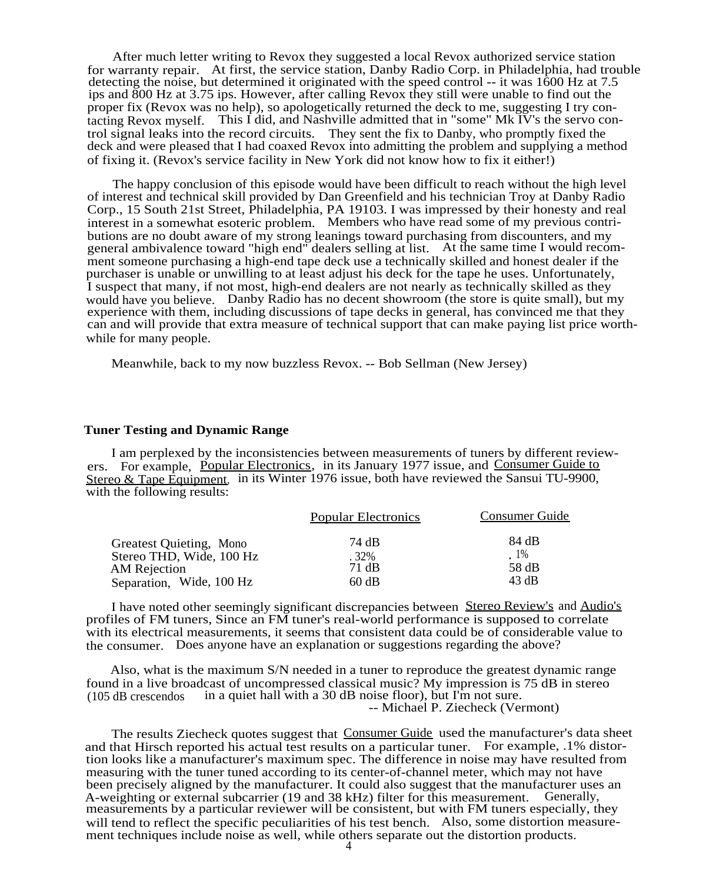After much letter writing to Revox they suggested a local Revox authorized service station for warranty repair. At first, the service station, Danby Radio Corp. in Philadelphia, had trouble detecting the noise, but determined it originated with the speed control -- it was 1600 Hz at 7.5 ips and 800 Hz at 3.75 ips. However, after calling Revox they still were unable to find out the proper fix (Revox was no help), so apologetically returned the deck to me, suggesting I try contacting Revox myself. This I did, and Nashville admitted that in "some" Mk IV's the servo control signal leaks into the record circuits. They sent the fix to Danby, who promptly fixed the deck and were pleased that I had coaxed Revox into admitting the problem and supplying a method of fixing it. (Revox's service facility in New York did not know how to fix it either!)

The happy conclusion of this episode would have been difficult to reach without the high level of interest and technical skill provided by Dan Greenfield and his technician Troy at Danby Radio Corp., 15 South 21st Street, Philadelphia, PA 19103. I was impressed by their honesty and real interest in a somewhat esoteric problem. Members who have read some of my previous contributions are no doubt aware of my strong leanings toward purchasing from discounters, and my general ambivalence toward "high end" dealers selling at list. At the same time I would recomment someone purchasing a high-end tape deck use a technically skilled and honest dealer if the purchaser is unable or unwilling to at least adjust his deck for the tape he uses. Unfortunately, I suspect that many, if not most, high-end dealers are not nearly as technically skilled as they would have you believe. Danby Radio has no decent showroom (the store is quite small), but my experience with them, including discussions of tape decks in general, has convinced me that they can and will provide that extra measure of technical support that can make paying list price worthwhile for many people.

Meanwhile, back to my now buzzless Revox. -- Bob Sellman (New Jersey)

#### **Tuner Testing and Dynamic Range**

I am perplexed by the inconsistencies between measurements of tuners by different reviewers. For example, Popular Electronics, in its January 1977 issue, and Consumer Guide to Stereo & Tape Equipment, in its Winter 1976 issue, both have reviewed the Sansui TU-9900, with the following results:

|                          | <b>Popular Electronics</b> | <b>Consumer Guide</b> |
|--------------------------|----------------------------|-----------------------|
| Greatest Quieting, Mono  | 74 dB                      | 84 dB                 |
| Stereo THD, Wide, 100 Hz | $.32\%$                    | $1\%$                 |
| <b>AM Rejection</b>      | 71 dB                      | 58 dB                 |
| Separation, Wide, 100 Hz | 60 dB                      | 43 dB                 |

I have noted other seemingly significant discrepancies between Stereo Review's and Audio's profiles of FM tuners, Since an FM tuner's real-world performance is supposed to correlate with its electrical measurements, it seems that consistent data could be of considerable value to the consumer. Does anyone have an explanation or suggestions regarding the above?

Also, what is the maximum S/N needed in a tuner to reproduce the greatest dynamic range found in a live broadcast of uncompressed classical music? My impression is 75 dB in stereo (105 dB crescendos in a quiet hall with a 30 dB noise floor), but I'm not sure. in a quiet hall with a 30 dB noise floor), but I'm not sure. -- Michael P. Ziecheck (Vermont)

The results Ziecheck quotes suggest that Consumer Guide used the manufacturer's data sheet and that Hirsch reported his actual test results on a particular tuner. For example, .1% distortion looks like a manufacturer's maximum spec. The difference in noise may have resulted from measuring with the tuner tuned according to its center-of-channel meter, which may not have been precisely aligned by the manufacturer. It could also suggest that the manufacturer uses an A-weighting or external subcarrier (19 and 38 kHz) filter for this measurement. Generally, measurements by a particular reviewer will be consistent, but with FM tuners especially, they will tend to reflect the specific peculiarities of his test bench. Also, some distortion measurement techniques include noise as well, while others separate out the distortion products.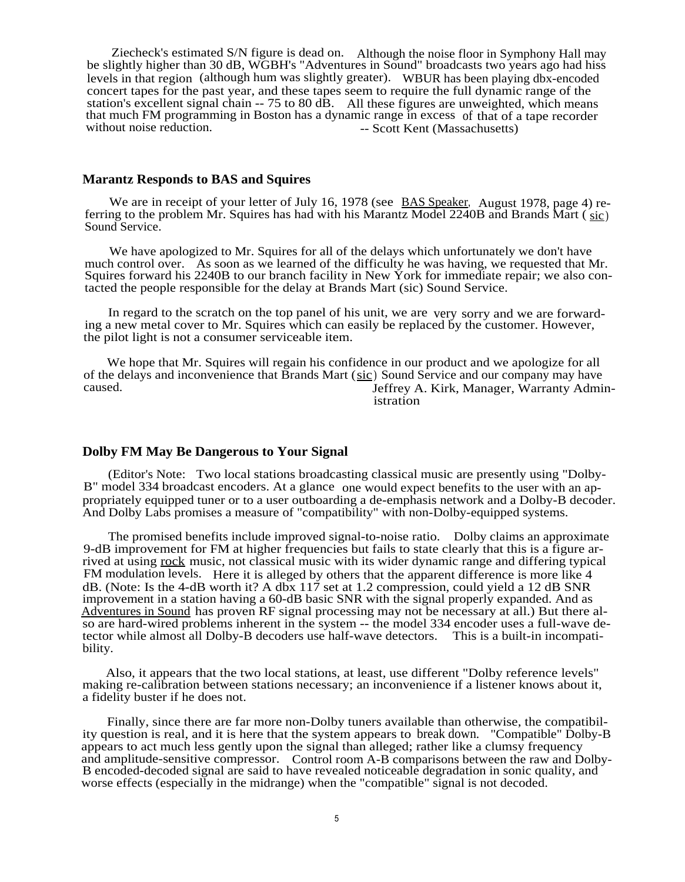Ziecheck's estimated S/N figure is dead on. Although the noise floor in Symphony Hall may be slightly higher than 30 dB, WGBH's "Adventures in Sound" broadcasts two years ago had hiss levels in that region (although hum was slightly greater). WBUR has been playing dbx-encoded concert tapes for the past year, and these tapes seem to require the full dynamic range of the station's excellent signal chain -- 75 to 80 dB. All these figures are unweighted, which means that much FM programming in Boston has a dynamic range in excess of that of a tape recorder without noise reduction. -- Scott Kent (Massachusetts) -- Scott Kent (Massachusetts).

#### **Marantz Responds to BAS and Squires**

We are in receipt of your letter of July 16, 1978 (see BAS Speaker, August 1978, page 4) referring to the problem Mr. Squires has had with his Marantz Model 2240B and Brands Mart ( sic) Sound Service.

We have apologized to Mr. Squires for all of the delays which unfortunately we don't have much control over. As soon as we learned of the difficulty he was having, we requested that Mr. Squires forward his 2240B to our branch facility in New York for immediate repair; we also contacted the people responsible for the delay at Brands Mart (sic) Sound Service.

In regard to the scratch on the top panel of his unit, we are very sorry and we are forwarding a new metal cover to Mr. Squires which can easily be replaced by the customer. However, the pilot light is not a consumer serviceable item.

We hope that Mr. Squires will regain his confidence in our product and we apologize for all of the delays and inconvenience that Brands Mart  $(sic)$  Sound Service and our company may have caused. Jeffrey A. Kirk, Manager, Warranty Administration

## **Dolby FM May Be Dangerous to Your Signal**

(Editor's Note: Two local stations broadcasting classical music are presently using "Dolby-B" model 334 broadcast encoders. At a glance one would expect benefits to the user with an appropriately equipped tuner or to a user outboarding a de-emphasis network and a Dolby-B decoder. And Dolby Labs promises a measure of "compatibility" with non-Dolby-equipped systems.

The promised benefits include improved signal-to-noise ratio. Dolby claims an approximate 9-dB improvement for FM at higher frequencies but fails to state clearly that this is a figure arrived at using rock music, not classical music with its wider dynamic range and differing typical FM modulation levels. Here it is alleged by others that the apparent difference is more like 4 dB. (Note: Is the 4-dB worth it? A dbx 117 set at 1.2 compression, could yield a 12 dB SNR improvement in a station having a 60-dB basic SNR with the signal properly expanded. And as Adventures in Sound has proven RF signal processing may not be necessary at all.) But there also are hard-wired problems inherent in the system -- the model 334 encoder uses a full-wave detector while almost all Dolby-B decoders use half-wave detectors. This is a built-in incompatibility.

Also, it appears that the two local stations, at least, use different "Dolby reference levels" making re-calibration between stations necessary; an inconvenience if a listener knows about it, a fidelity buster if he does not.

Finally, since there are far more non-Dolby tuners available than otherwise, the compatibility question is real, and it is here that the system appears to break down. "Compatible" Dolby-B appears to act much less gently upon the signal than alleged; rather like a clumsy frequency and amplitude-sensitive compressor. Control room A-B comparisons between the raw and Dolby-B encoded-decoded signal are said to have revealed noticeable degradation in sonic quality, and worse effects (especially in the midrange) when the "compatible" signal is not decoded.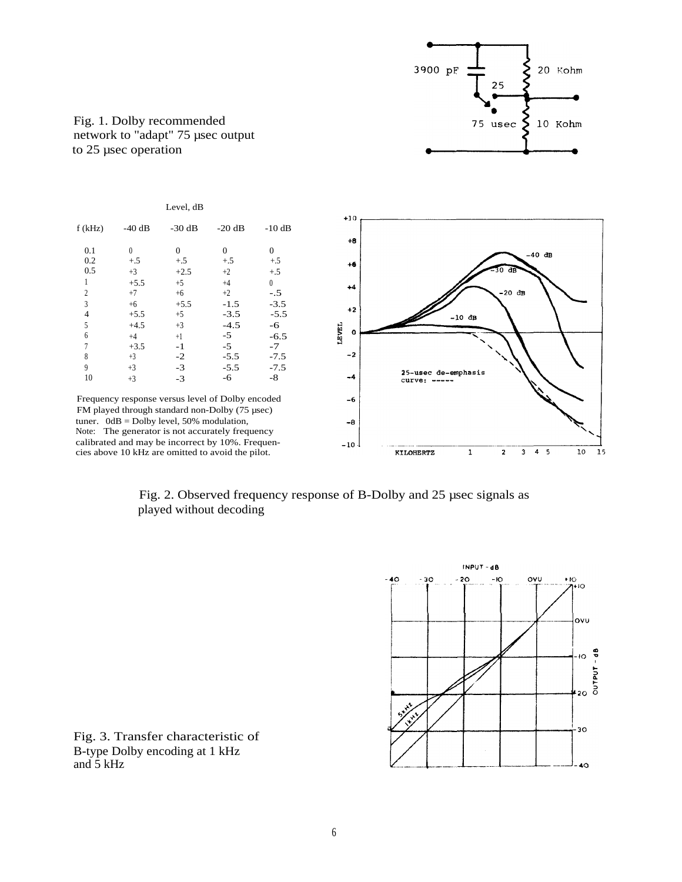

Fig. 1. Dolby recommended network to "adapt" 75 µsec output to 25 µsec operation







Fig. 3. Transfer characteristic of B-type Dolby encoding at 1 kHz and 5 kHz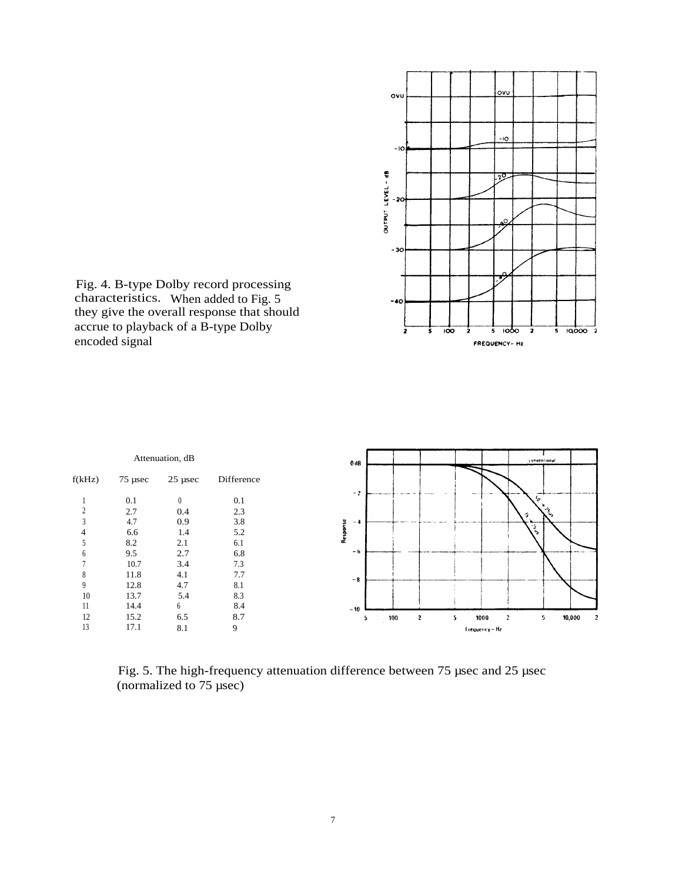

Fig. 4. B-type Dolby record processing characteristics. When added to Fig. 5 they give the overall response that should accrue to playback of a B-type Dolby encoded signal

| Attenuation, dB |           |           | conventional<br>0 <sub>dB</sub> |                                                                   |
|-----------------|-----------|-----------|---------------------------------|-------------------------------------------------------------------|
| f(kHz)          | $75$ µsec | $25$ µsec | Difference                      |                                                                   |
|                 | 0.1       | $\theta$  | 0.1                             | $-2$<br>-----<br>r                                                |
| C               | 2.7       | 0.4       | 2.3                             | فلمجمع<br>子                                                       |
| 3               | 4.7       | 0.9       | 3.8                             | $-4$                                                              |
|                 | 6.6       | 1.4       | 5.2                             | Response<br>್ಕೃ                                                   |
|                 | 8.2       | 2.1       | 6.1                             |                                                                   |
| <sub>6</sub>    | 9.5       | 2.7       | 6.8                             | $-6$                                                              |
|                 | 10.7      | 3.4       | 7.3                             |                                                                   |
| 8               | 11.8      | 4.1       | 7.7                             | $-8$                                                              |
| 9               | 12.8      | 4.7       | 8.1                             |                                                                   |
| 10              | 13.7      | 5.4       | 8.3                             |                                                                   |
| 11              | 14.4      | 6         | 8.4                             | $-10$                                                             |
| 12              | 15.2      | 6.5       | 8.7                             | 10,000<br>1000<br>100<br>5<br>$\mathbf{z}$<br>5<br>$\overline{c}$ |
| 13              | 17.1      | 8.1       | 9                               | Frequency-Hz                                                      |

Fig. 5. The high-frequency attenuation difference between 75 µsec and 25 µsec (normalized to 75 µsec)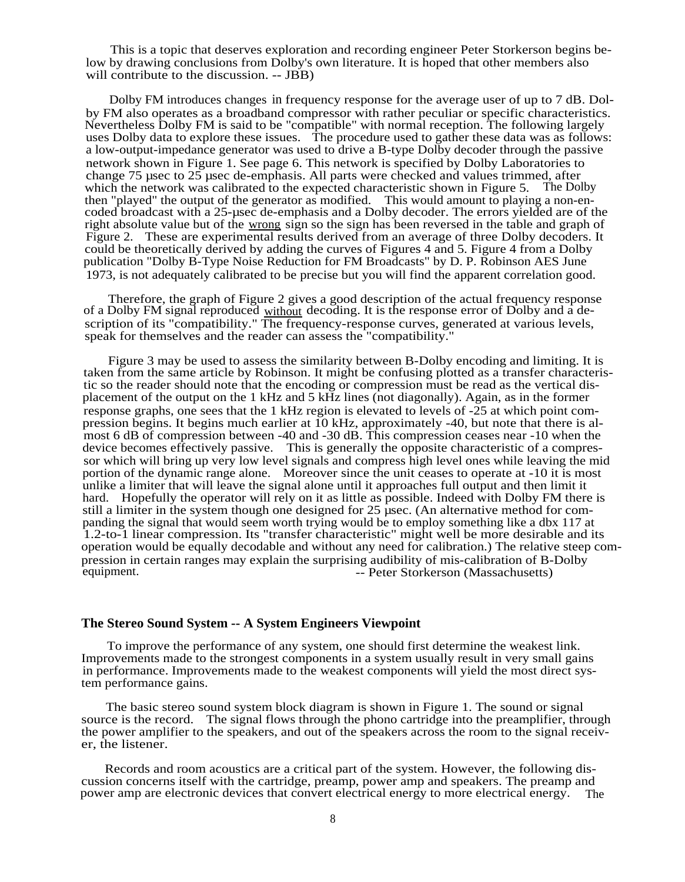This is a topic that deserves exploration and recording engineer Peter Storkerson begins below by drawing conclusions from Dolby's own literature. It is hoped that other members also will contribute to the discussion. -- JBB)

Dolby FM introduces changes in frequency response for the average user of up to 7 dB. Dolby FM also operates as a broadband compressor with rather peculiar or specific characteristics. Nevertheless Dolby FM is said to be "compatible" with normal reception. The following largely uses Dolby data to explore these issues. The procedure used to gather these data was as follows: a low-output-impedance generator was used to drive a B-type Dolby decoder through the passive network shown in Figure 1. See page 6. This network is specified by Dolby Laboratories to change 75 µsec to 25 µsec de-emphasis. All parts were checked and values trimmed, after which the network was calibrated to the expected characteristic shown in Figure 5. The Dolby then "played" the output of the generator as modified. This would amount to playing a non-encoded broadcast with a 25-µsec de-emphasis and a Dolby decoder. The errors yielded are of the right absolute value but of the wrong sign so the sign has been reversed in the table and graph of Figure 2. These are experimental results derived from an average of three Dolby decoders. It could be theoretically derived by adding the curves of Figures 4 and 5. Figure 4 from a Dolby publication "Dolby B-Type Noise Reduction for FM Broadcasts" by D. P. Robinson AES June 1973, is not adequately calibrated to be precise but you will find the apparent correlation good.

Therefore, the graph of Figure 2 gives a good description of the actual frequency response of a Dolby FM signal reproduced without decoding. It is the response error of Dolby and a description of its "compatibility." The frequency-response curves, generated at various levels, speak for themselves and the reader can assess the "compatibility."

Figure 3 may be used to assess the similarity between B-Dolby encoding and limiting. It is taken from the same article by Robinson. It might be confusing plotted as a transfer characteristic so the reader should note that the encoding or compression must be read as the vertical displacement of the output on the 1 kHz and 5 kHz lines (not diagonally). Again, as in the former response graphs, one sees that the 1 kHz region is elevated to levels of -25 at which point compression begins. It begins much earlier at 10 kHz, approximately -40, but note that there is almost 6 dB of compression between -40 and -30 dB. This compression ceases near -10 when the device becomes effectively passive. This is generally the opposite characteristic of a compressor which will bring up very low level signals and compress high level ones while leaving the mid portion of the dynamic range alone. Moreover since the unit ceases to operate at -10 it is most unlike a limiter that will leave the signal alone until it approaches full output and then limit it hard. Hopefully the operator will rely on it as little as possible. Indeed with Dolby FM there is still a limiter in the system though one designed for 25 usec. (An alternative method for companding the signal that would seem worth trying would be to employ something like a dbx 117 at 1.2-to-1 linear compression. Its "transfer characteristic" might well be more desirable and its operation would be equally decodable and without any need for calibration.) The relative steep compression in certain ranges may explain the surprising audibility of mis-calibration of B-Dolby -- Peter Storkerson (Massachusetts)

## **The Stereo Sound System -- A System Engineers Viewpoint**

To improve the performance of any system, one should first determine the weakest link. Improvements made to the strongest components in a system usually result in very small gains in performance. Improvements made to the weakest components will yield the most direct system performance gains.

The basic stereo sound system block diagram is shown in Figure 1. The sound or signal source is the record. The signal flows through the phono cartridge into the preamplifier, through the power amplifier to the speakers, and out of the speakers across the room to the signal receiver, the listener.

Records and room acoustics are a critical part of the system. However, the following discussion concerns itself with the cartridge, preamp, power amp and speakers. The preamp and power amp are electronic devices that convert electrical energy to more electrical energy. The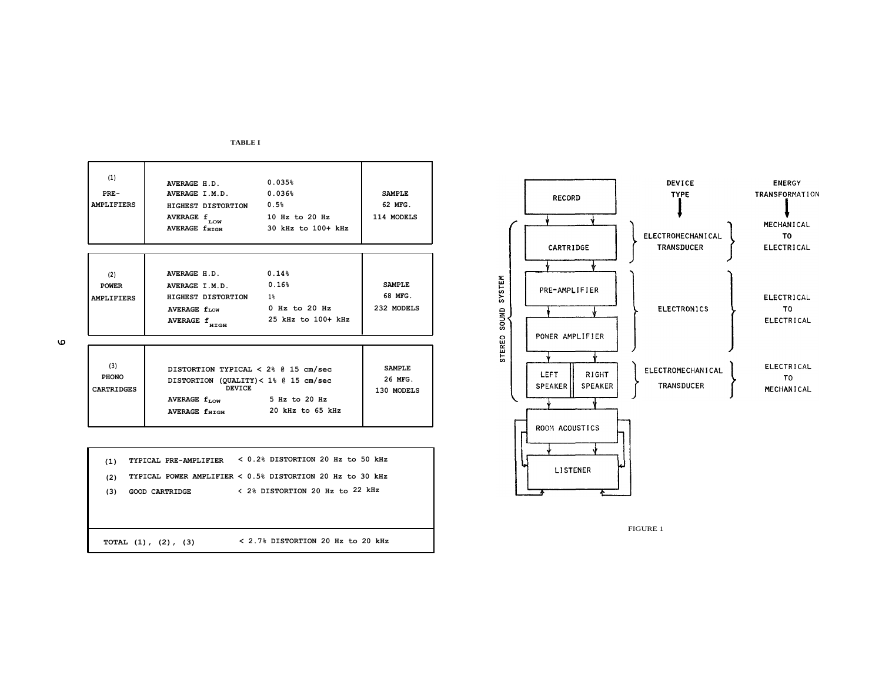| FARLE I |  |
|---------|--|
|---------|--|

| (1)<br>$PRE-$<br><b>AMPLIFIERS</b>       | AVERAGE H.D. 0.035%<br>AVERAGE I.M.D. 0.036%<br>HIGHEST DISTORTION 0.5%<br>AVERAGE f<br>LOW<br>AVERAGE f <sub>HIGH</sub>                                       | 10 Hz to 20 Hz<br>30 kHz to 100+ kHz | <b>SAMPLE</b><br>62 MFG.<br>114 MODELS |
|------------------------------------------|----------------------------------------------------------------------------------------------------------------------------------------------------------------|--------------------------------------|----------------------------------------|
| (2)<br><b>POWER</b><br><b>AMPLIFIERS</b> | $AVERAGE$ H.D. $0.14\%$<br>AVERAGE $I.M.D.$ 0.16%<br>HIGHEST DISTORTION<br>AVERAGE $f_{LOW}$ 0 Hz to 20 Hz<br><b>AVERAGE f</b><br>HIGH                         | $1\%$<br>25 kHz to 100+ kHz          | <b>SAMPLE</b><br>68 MFG.<br>232 MODELS |
| (3)<br><b>PHONO</b><br><b>CARTRIDGES</b> | DISTORTION TYPICAL < 2% @ 15 cm/sec<br>DISTORTION (QUALITY)< 1% @ 15 cm/sec<br><b>DEVICE</b><br>AVERAGE $f_{\text{LOW}}$ 5 Hz to 20 Hz<br><b>AVERAGE futch</b> | 20 kHz to 65 kHz                     | <b>SAMPLE</b><br>26 MFG.<br>130 MODELS |
| (1)<br>(2)                               | TYPICAL PRE-AMPLIFIER < 0.2% DISTORTION 20 Hz to 50 kHz<br>TYPICAL POWER AMPLIFIER < 0.5% DISTORTION 20 Hz to 30 kHz                                           |                                      |                                        |

**(3) GOOD CARTRIDGE <sup>&</sup>lt; 2% DISTORTION 20 Hz to 22 kHz**

**TOTAL (1), (2), (3) < 2.7% DISTORTION 20 Hz to 20 kHz**



FIGURE 1

 $\mathbf \omega$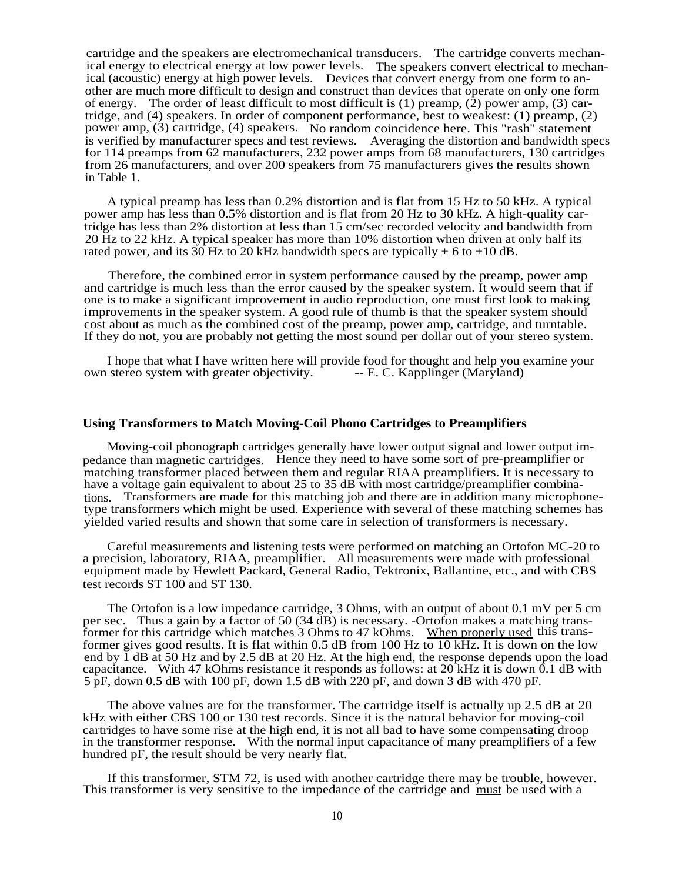cartridge and the speakers are electromechanical transducers. The cartridge converts mechanical energy to electrical energy at low power levels. The speakers convert electrical to mechanical (acoustic) energy at high power levels. Devices that convert energy from one form to another are much more difficult to design and construct than devices that operate on only one form of energy. The order of least difficult to most difficult is  $(1)$  preamp,  $(2)$  power amp,  $(3)$  cartridge, and (4) speakers. In order of component performance, best to weakest: (1) preamp, (2) power amp, (3) cartridge, (4) speakers. No random coincidence here. This "rash" statement is verified by manufacturer specs and test reviews. Averaging the distortion and bandwidth specs for 114 preamps from 62 manufacturers, 232 power amps from 68 manufacturers, 130 cartridges from 26 manufacturers, and over 200 speakers from 75 manufacturers gives the results shown in Table 1.

A typical preamp has less than 0.2% distortion and is flat from 15 Hz to 50 kHz. A typical power amp has less than 0.5% distortion and is flat from 20 Hz to 30 kHz. A high-quality cartridge has less than 2% distortion at less than 15 cm/sec recorded velocity and bandwidth from 20 Hz to 22 kHz. A typical speaker has more than 10% distortion when driven at only half its rated power, and its 30 Hz to 20 kHz bandwidth specs are typically  $\pm$  6 to  $\pm$ 10 dB.

Therefore, the combined error in system performance caused by the preamp, power amp and cartridge is much less than the error caused by the speaker system. It would seem that if one is to make a significant improvement in audio reproduction, one must first look to making improvements in the speaker system. A good rule of thumb is that the speaker system should cost about as much as the combined cost of the preamp, power amp, cartridge, and turntable. If they do not, you are probably not getting the most sound per dollar out of your stereo system.

I hope that what I have written here will provide food for thought and help you examine your own stereo system with greater objectivity. -- E. C. Kapplinger (Maryland)

## **Using Transformers to Match Moving-Coil Phono Cartridges to Preamplifiers**

Moving-coil phonograph cartridges generally have lower output signal and lower output impedance than magnetic cartridges. Hence they need to have some sort of pre-preamplifier or matching transformer placed between them and regular RIAA preamplifiers. It is necessary to have a voltage gain equivalent to about 25 to 35 dB with most cartridge/preamplifier combinations. Transformers are made for this matching job and there are in addition many microphonetype transformers which might be used. Experience with several of these matching schemes has yielded varied results and shown that some care in selection of transformers is necessary.

Careful measurements and listening tests were performed on matching an Ortofon MC-20 to a precision, laboratory, RIAA, preamplifier. All measurements were made with professional equipment made by Hewlett Packard, General Radio, Tektronix, Ballantine, etc., and with CBS test records ST 100 and ST 130.

The Ortofon is a low impedance cartridge, 3 Ohms, with an output of about 0.1 mV per 5 cm per sec. Thus a gain by a factor of 50 (34 dB) is necessary. -Ortofon makes a matching transformer for this cartridge which matches 3 Ohms to 47 kOhms. When properly used this transformer gives good results. It is flat within 0.5 dB from 100 Hz to 10 kHz. It is down on the low end by 1 dB at 50 Hz and by 2.5 dB at 20 Hz. At the high end, the response depends upon the load capacitance. With 47 kOhms resistance it responds as follows: at 20 kHz it is down  $\overline{0.1}$  dB with 5 pF, down 0.5 dB with 100 pF, down 1.5 dB with 220 pF, and down 3 dB with 470 pF.

The above values are for the transformer. The cartridge itself is actually up 2.5 dB at 20 kHz with either CBS 100 or 130 test records. Since it is the natural behavior for moving-coil cartridges to have some rise at the high end, it is not all bad to have some compensating droop in the transformer response. With the normal input capacitance of many preamplifiers of a few hundred pF, the result should be very nearly flat.

If this transformer, STM 72, is used with another cartridge there may be trouble, however. This transformer is very sensitive to the impedance of the cartridge and must be used with a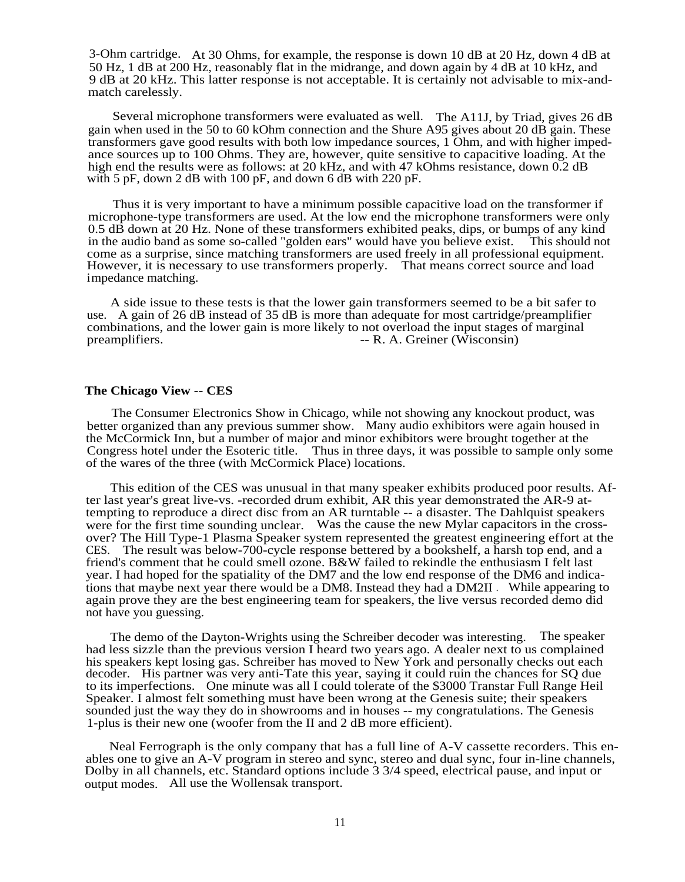3-Ohm cartridge. At 30 Ohms, for example, the response is down 10 dB at 20 Hz, down 4 dB at 50 Hz, 1 dB at 200 Hz, reasonably flat in the midrange, and down again by 4 dB at 10 kHz, and 9 dB at 20 kHz. This latter response is not acceptable. It is certainly not advisable to mix-andmatch carelessly.

Several microphone transformers were evaluated as well. The A11J, by Triad, gives 26 dB gain when used in the 50 to 60 kOhm connection and the Shure A95 gives about 20 dB gain. These transformers gave good results with both low impedance sources, 1 Ohm, and with higher impedance sources up to 100 Ohms. They are, however, quite sensitive to capacitive loading. At the high end the results were as follows: at 20 kHz, and with 47 kOhms resistance, down 0.2 dB with 5 pF, down 2 dB with 100 pF, and down 6 dB with 220 pF.

Thus it is very important to have a minimum possible capacitive load on the transformer if microphone-type transformers are used. At the low end the microphone transformers were only 0.5 dB down at 20 Hz. None of these transformers exhibited peaks, dips, or bumps of any kind in the audio band as some so-called "golden ears" would have you believe exist. This should not in the audio band as some so-called "golden ears" would have you believe exist. come as a surprise, since matching transformers are used freely in all professional equipment. However, it is necessary to use transformers properly. That means correct source and load impedance matching.

A side issue to these tests is that the lower gain transformers seemed to be a bit safer to use. A gain of 26 dB instead of 35 dB is more than adequate for most cartridge/preamplifier combinations, and the lower gain is more likely to not overload the input stages of marginal preamplifiers.<br> $-$  R. A. Greiner (Wisconsin)  $-$  R. A. Greiner (Wisconsin)

## **The Chicago View -- CES**

The Consumer Electronics Show in Chicago, while not showing any knockout product, was better organized than any previous summer show. Many audio exhibitors were again housed in the McCormick Inn, but a number of major and minor exhibitors were brought together at the Congress hotel under the Esoteric title. Thus in three days, it was possible to sample only some of the wares of the three (with McCormick Place) locations.

This edition of the CES was unusual in that many speaker exhibits produced poor results. After last year's great live-vs. -recorded drum exhibit, AR this year demonstrated the AR-9 attempting to reproduce a direct disc from an AR turntable -- a disaster. The Dahlquist speakers were for the first time sounding unclear. Was the cause the new Mylar capacitors in the crossover? The Hill Type-1 Plasma Speaker system represented the greatest engineering effort at the CES. The result was below-700-cycle response bettered by a bookshelf, a harsh top end, and a friend's comment that he could smell ozone. B&W failed to rekindle the enthusiasm I felt last year. I had hoped for the spatiality of the DM7 and the low end response of the DM6 and indications that maybe next year there would be a DM8. Instead they had a DM2II . While appearing to again prove they are the best engineering team for speakers, the live versus recorded demo did not have you guessing.

The demo of the Dayton-Wrights using the Schreiber decoder was interesting. The speaker had less sizzle than the previous version I heard two years ago. A dealer next to us complained his speakers kept losing gas. Schreiber has moved to New York and personally checks out each decoder. His partner was very anti-Tate this year, saying it could ruin the chances for SQ due to its imperfections. One minute was all I could tolerate of the \$3000 Transtar Full Range Heil Speaker. I almost felt something must have been wrong at the Genesis suite; their speakers sounded just the way they do in showrooms and in houses -- my congratulations. The Genesis 1-plus is their new one (woofer from the II and 2 dB more efficient).

Neal Ferrograph is the only company that has a full line of A-V cassette recorders. This enables one to give an A-V program in stereo and sync, stereo and dual sync, four in-line channels, Dolby in all channels, etc. Standard options include 3 3/4 speed, electrical pause, and input or output modes. All use the Wollensak transport.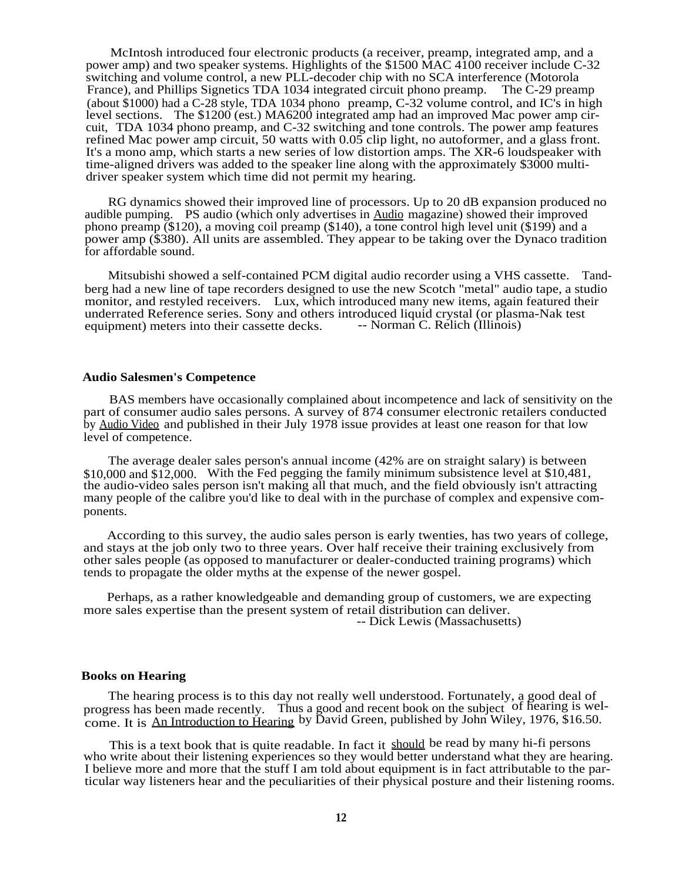McIntosh introduced four electronic products (a receiver, preamp, integrated amp, and a power amp) and two speaker systems. Highlights of the \$1500 MAC 4100 receiver include C-32 switching and volume control, a new PLL-decoder chip with no SCA interference (Motorola France), and Phillips Signetics TDA 1034 integrated circuit phono preamp. The C-29 preamp France), and Phillips Signetics TDA 1034 integrated circuit phono preamp. (about \$1000) had a C-28 style, TDA 1034 phono preamp, C-32 volume control, and IC's in high level sections. The \$1200 (est.) MA6200 integrated amp had an improved Mac power amp circuit, TDA 1034 phono preamp, and C-32 switching and tone controls. The power amp features refined Mac power amp circuit, 50 watts with 0.05 clip light, no autoformer, and a glass front. It's a mono amp, which starts a new series of low distortion amps. The XR-6 loudspeaker with time-aligned drivers was added to the speaker line along with the approximately \$3000 multidriver speaker system which time did not permit my hearing.

RG dynamics showed their improved line of processors. Up to 20 dB expansion produced no audible pumping. PS audio (which only advertises in Audio magazine) showed their improved phono preamp (\$120), a moving coil preamp (\$140), a tone control high level unit (\$199) and a power amp (\$380). All units are assembled. They appear to be taking over the Dynaco tradition for affordable sound.

Mitsubishi showed a self-contained PCM digital audio recorder using a VHS cassette. Tandberg had a new line of tape recorders designed to use the new Scotch "metal" audio tape, a studio monitor, and restyled receivers. Lux, which introduced many new items, again featured their underrated Reference series. Sony and others introduced liquid crystal (or plasma-Nak test equipment) meters into their cassette decks. —— Norman C. Relich (Illinois) equipment) meters into their cassette decks.

#### **Audio Salesmen's Competence**

BAS members have occasionally complained about incompetence and lack of sensitivity on the part of consumer audio sales persons. A survey of 874 consumer electronic retailers conducted by Audio Video and published in their July 1978 issue provides at least one reason for that low level of competence.

The average dealer sales person's annual income (42% are on straight salary) is between \$10,000 and \$12,000. With the Fed pegging the family minimum subsistence level at \$10,481, the audio-video sales person isn't making all that much, and the field obviously isn't attracting many people of the calibre you'd like to deal with in the purchase of complex and expensive components.

According to this survey, the audio sales person is early twenties, has two years of college, and stays at the job only two to three years. Over half receive their training exclusively from other sales people (as opposed to manufacturer or dealer-conducted training programs) which tends to propagate the older myths at the expense of the newer gospel.

Perhaps, as a rather knowledgeable and demanding group of customers, we are expecting more sales expertise than the present system of retail distribution can deliver. -- Dick Lewis (Massachusetts)

#### **Books on Hearing**

The hearing process is to this day not really well understood. Fortunately, a good deal of progress has been made recently. Thus a good and recent book on the subject of hearing is welcome. It is An Introduction to Hearing by David Green, published by John Wiley, 1976, \$16.50.

This is a text book that is quite readable. In fact it should be read by many hi-fi persons who write about their listening experiences so they would better understand what they are hearing. I believe more and more that the stuff I am told about equipment is in fact attributable to the particular way listeners hear and the peculiarities of their physical posture and their listening rooms.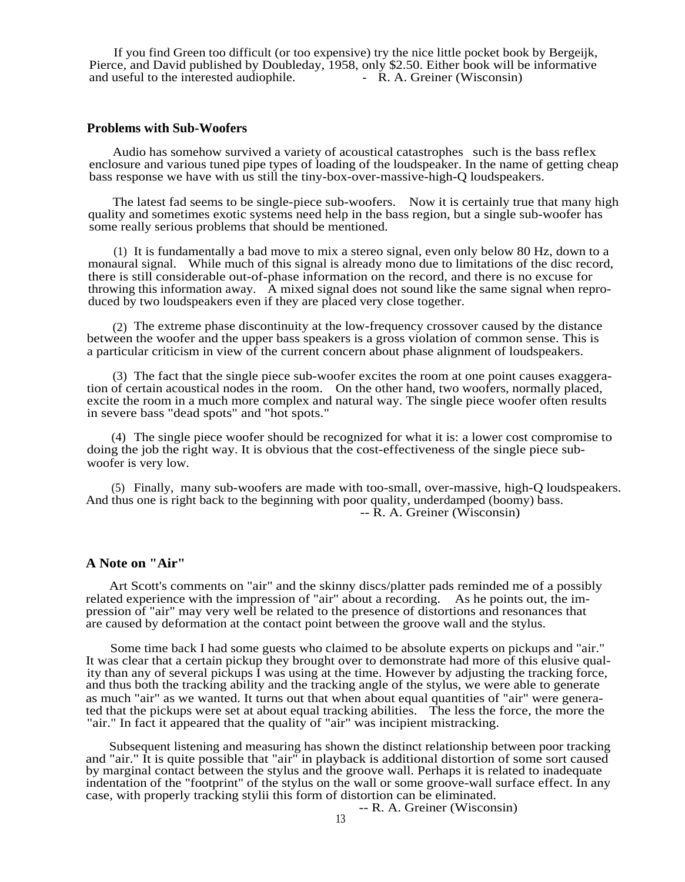If you find Green too difficult (or too expensive) try the nice little pocket book by Bergeijk, Pierce, and David published by Doubleday, 1958, only \$2.50. Either book will be informative and useful to the interested audiophile. <br>- R. A. Greiner (Wisconsin) and useful to the interested audiophile.

#### **Problems with Sub-Woofers**

Audio has somehow survived a variety of acoustical catastrophes such is the bass reflex enclosure and various tuned pipe types of loading of the loudspeaker. In the name of getting cheap bass response we have with us still the tiny-box-over-massive-high-Q loudspeakers.

The latest fad seems to be single-piece sub-woofers. Now it is certainly true that many high quality and sometimes exotic systems need help in the bass region, but a single sub-woofer has some really serious problems that should be mentioned.

(1) It is fundamentally a bad move to mix a stereo signal, even only below 80 Hz, down to a monaural signal. While much of this signal is already mono due to limitations of the disc record, there is still considerable out-of-phase information on the record, and there is no excuse for throwing this information away. A mixed signal does not sound like the same signal when reproduced by two loudspeakers even if they are placed very close together.

(2) The extreme phase discontinuity at the low-frequency crossover caused by the distance between the woofer and the upper bass speakers is a gross violation of common sense. This is a particular criticism in view of the current concern about phase alignment of loudspeakers.

(3) The fact that the single piece sub-woofer excites the room at one point causes exaggeration of certain acoustical nodes in the room. On the other hand, two woofers, normally placed, excite the room in a much more complex and natural way. The single piece woofer often results in severe bass "dead spots" and "hot spots."

(4) The single piece woofer should be recognized for what it is: a lower cost compromise to doing the job the right way. It is obvious that the cost-effectiveness of the single piece subwoofer is very low.

(5) Finally, many sub-woofers are made with too-small, over-massive, high-Q loudspeakers. And thus one is right back to the beginning with poor quality, underdamped (boomy) bass. -- R. A. Greiner (Wisconsin)

## **A Note on "Air"**

Art Scott's comments on "air" and the skinny discs/platter pads reminded me of a possibly related experience with the impression of "air" about a recording. As he points out, the impression of "air" may very well be related to the presence of distortions and resonances that are caused by deformation at the contact point between the groove wall and the stylus.

Some time back I had some guests who claimed to be absolute experts on pickups and "air." It was clear that a certain pickup they brought over to demonstrate had more of this elusive quality than any of several pickups I was using at the time. However by adjusting the tracking force, and thus both the tracking ability and the tracking angle of the stylus, we were able to generate as much "air" as we wanted. It turns out that when about equal quantities of "air" were generated that the pickups were set at about equal tracking abilities. The less the force, the more the "air." In fact it appeared that the quality of "air" was incipient mistracking.

Subsequent listening and measuring has shown the distinct relationship between poor tracking and "air." It is quite possible that "air" in playback is additional distortion of some sort caused by marginal contact between the stylus and the groove wall. Perhaps it is related to inadequate indentation of the "footprint" of the stylus on the wall or some groove-wall surface effect. In any case, with properly tracking stylii this form of distortion can be eliminated.

-- R. A. Greiner (Wisconsin)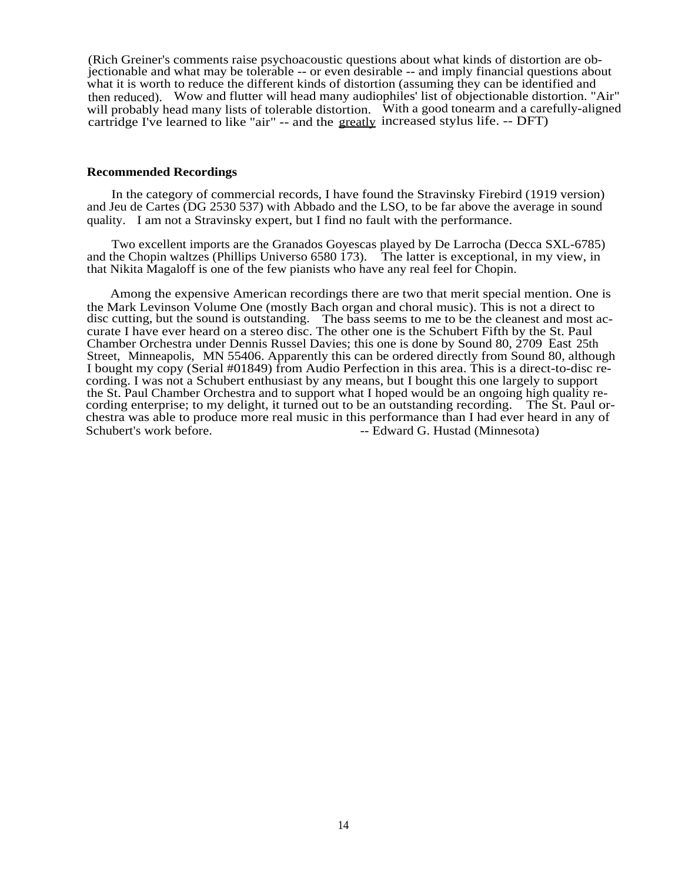(Rich Greiner's comments raise psychoacoustic questions about what kinds of distortion are objectionable and what may be tolerable -- or even desirable -- and imply financial questions about what it is worth to reduce the different kinds of distortion (assuming they can be identified and then reduced). Wow and flutter will head many audiophiles' list of objectionable distortion. "Air" will probably head many lists of tolerable distortion. With a good tonearm and a carefully-aligned cartridge I've learned to like "air" -- and the greatly increased stylus life. -- DFT)

#### **Recommended Recordings**

In the category of commercial records, I have found the Stravinsky Firebird (1919 version) and Jeu de Cartes (DG 2530 537) with Abbado and the LSO, to be far above the average in sound quality. I am not a Stravinsky expert, but I find no fault with the performance.

Two excellent imports are the Granados Goyescas played by De Larrocha (Decca SXL-6785) and the Chopin waltzes (Phillips Universo 6580 173). The latter is exceptional, in my view, in that Nikita Magaloff is one of the few pianists who have any real feel for Chopin.

Among the expensive American recordings there are two that merit special mention. One is the Mark Levinson Volume One (mostly Bach organ and choral music). This is not a direct to disc cutting, but the sound is outstanding. The bass seems to me to be the cleanest and most accurate I have ever heard on a stereo disc. The other one is the Schubert Fifth by the St. Paul Chamber Orchestra under Dennis Russel Davies; this one is done by Sound 80, 2709 East 25th Street, Minneapolis, MN 55406. Apparently this can be ordered directly from Sound 80, although I bought my copy (Serial #01849) from Audio Perfection in this area. This is a direct-to-disc recording. I was not a Schubert enthusiast by any means, but I bought this one largely to support the St. Paul Chamber Orchestra and to support what I hoped would be an ongoing high quality recording enterprise; to my delight, it turned out to be an outstanding recording. The St. Paul orchestra was able to produce more real music in this performance than I had ever heard in any of Schubert's work before. The Contract of the Schubert's work before. The Schubert's work before.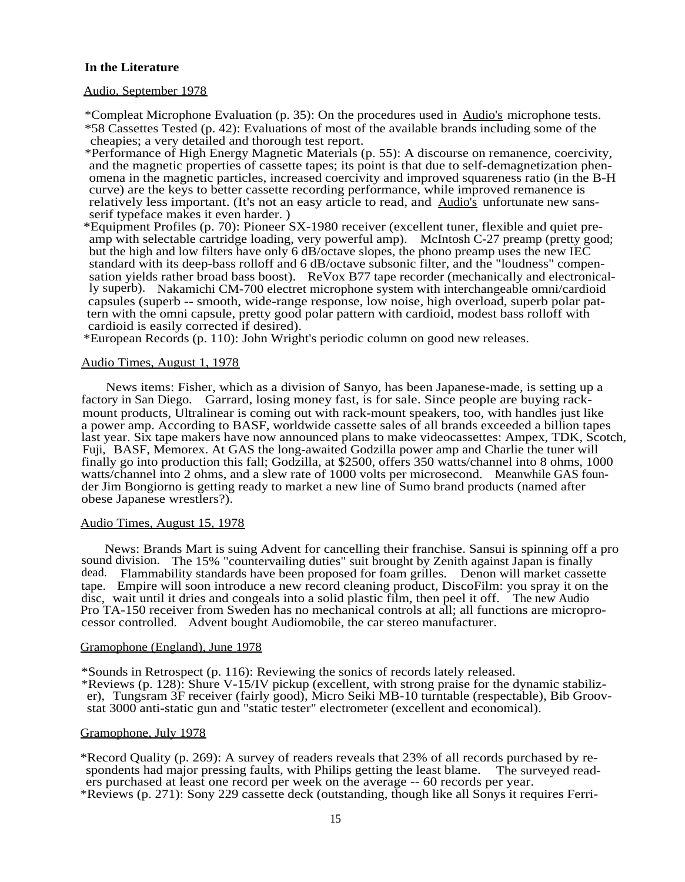## **In the Literature**

#### Audio, September 1978

\*Compleat Microphone Evaluation (p. 35): On the procedures used in Audio's microphone tests. \*58 Cassettes Tested (p. 42): Evaluations of most of the available brands including some of the cheapies; a very detailed and thorough test report.

\*Performance of High Energy Magnetic Materials (p. 55): A discourse on remanence, coercivity, and the magnetic properties of cassette tapes; its point is that due to self-demagnetization phenomena in the magnetic particles, increased coercivity and improved squareness ratio (in the B-H curve) are the keys to better cassette recording performance, while improved remanence is relatively less important. (It's not an easy article to read, and Audio's unfortunate new sansserif typeface makes it even harder. )

\*Equipment Profiles (p. 70): Pioneer SX-1980 receiver (excellent tuner, flexible and quiet preamp with selectable cartridge loading, very powerful amp). McIntosh C-27 preamp (pretty good; but the high and low filters have only 6 dB/octave slopes, the phono preamp uses the new IEC standard with its deep-bass rolloff and 6 dB/octave subsonic filter, and the "loudness" compensation yields rather broad bass boost). ReVox B77 tape recorder (mechanically and electronically superb). Nakamichi CM-700 electret microphone system with interchangeable omni/cardioid capsules (superb -- smooth, wide-range response, low noise, high overload, superb polar pattern with the omni capsule, pretty good polar pattern with cardioid, modest bass rolloff with cardioid is easily corrected if desired).

\*European Records (p. 110): John Wright's periodic column on good new releases.

#### Audio Times, August 1, 1978

News items: Fisher, which as a division of Sanyo, has been Japanese-made, is setting up a factory in San Diego. Garrard, losing money fast, is for sale. Since people are buying rackmount products, Ultralinear is coming out with rack-mount speakers, too, with handles just like a power amp. According to BASF, worldwide cassette sales of all brands exceeded a billion tapes last year. Six tape makers have now announced plans to make videocassettes: Ampex, TDK, Scotch, Fuji, BASF, Memorex. At GAS the long-awaited Godzilla power amp and Charlie the tuner will finally go into production this fall; Godzilla, at \$2500, offers 350 watts/channel into 8 ohms, 1000 watts/channel into 2 ohms, and a slew rate of 1000 volts per microsecond. Meanwhile GAS founder Jim Bongiorno is getting ready to market a new line of Sumo brand products (named after obese Japanese wrestlers?).

#### Audio Times, August 15, 1978

News: Brands Mart is suing Advent for cancelling their franchise. Sansui is spinning off a pro sound division. The 15% "countervailing duties" suit brought by Zenith against Japan is finally dead. Flammability standards have been proposed for foam grilles. Denon will market cassette tape. Empire will soon introduce a new record cleaning product, DiscoFilm: you spray it on the disc, wait until it dries and congeals into a solid plastic film, then peel it off. The new Audio Pro TA-150 receiver from Sweden has no mechanical controls at all; all functions are microprocessor controlled. Advent bought Audiomobile, the car stereo manufacturer.

#### Gramophone (England), June 1978

\*Sounds in Retrospect (p. 116): Reviewing the sonics of records lately released.

\*Reviews (p. 128): Shure V-15/IV pickup (excellent, with strong praise for the dynamic stabilizer), Tungsram 3F receiver (fairly good), Micro Seiki MB-10 turntable (respectable), Bib Groovstat 3000 anti-static gun and "static tester" electrometer (excellent and economical).

#### Gramophone, July 1978

\*Record Quality (p. 269): A survey of readers reveals that 23% of all records purchased by respondents had major pressing faults, with Philips getting the least blame. The surveyed readers purchased at least one record per week on the average -- 60 records per year. \*Reviews (p. 271): Sony 229 cassette deck (outstanding, though like all Sonys it requires Ferri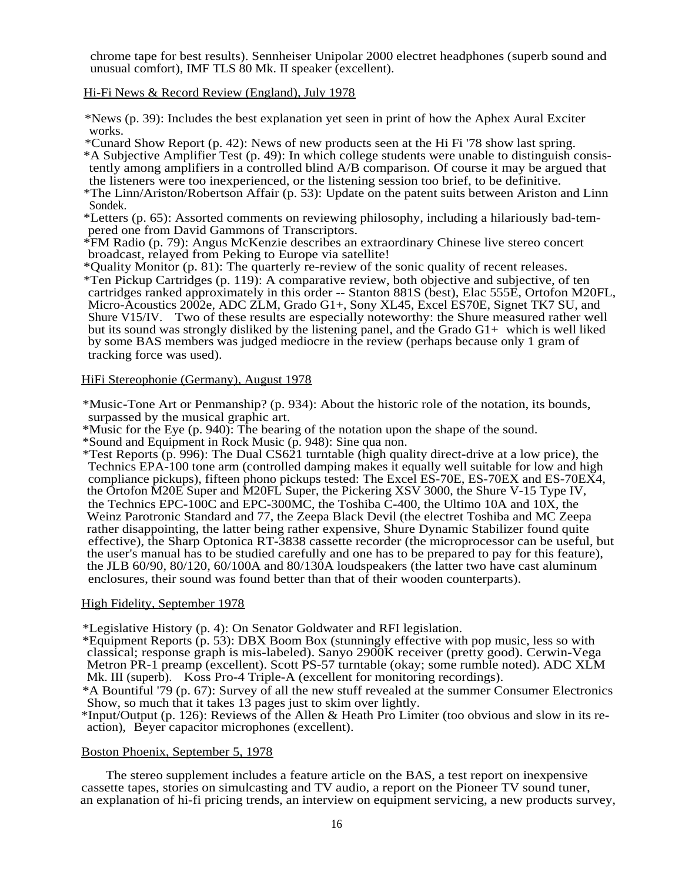chrome tape for best results). Sennheiser Unipolar 2000 electret headphones (superb sound and unusual comfort), IMF TLS 80 Mk. II speaker (excellent).

Hi-Fi News & Record Review (England), July 1978

\*News (p. 39): Includes the best explanation yet seen in print of how the Aphex Aural Exciter works.

\*Cunard Show Report (p. 42): News of new products seen at the Hi Fi '78 show last spring. \*A Subjective Amplifier Test (p. 49): In which college students were unable to distinguish consistently among amplifiers in a controlled blind A/B comparison. Of course it may be argued that the listeners were too inexperienced, or the listening session too brief, to be definitive.

\*The Linn/Ariston/Robertson Affair (p. 53): Update on the patent suits between Ariston and Linn Sondek.

\*Letters (p. 65): Assorted comments on reviewing philosophy, including a hilariously bad-tempered one from David Gammons of Transcriptors.

\*FM Radio (p. 79): Angus McKenzie describes an extraordinary Chinese live stereo concert broadcast, relayed from Peking to Europe via satellite!

\*Quality Monitor (p. 81): The quarterly re-review of the sonic quality of recent releases.

\*Ten Pickup Cartridges (p. 119): A comparative review, both objective and subjective, of ten cartridges ranked approximately in this order -- Stanton 881S (best), Elac 555E, Ortofon M20FL, Micro-Acoustics 2002e, ADC ZLM, Grado G1+, Sony XL45, Excel ES70E, Signet TK7 SU, and Shure V15/IV. Two of these results are especially noteworthy: the Shure measured rather well but its sound was strongly disliked by the listening panel, and the Grado  $G_1$ + which is well liked by some BAS members was judged mediocre in the review (perhaps because only 1 gram of tracking force was used).

## HiFi Stereophonie (Germany), August 1978

\*Music-Tone Art or Penmanship? (p. 934): About the historic role of the notation, its bounds, surpassed by the musical graphic art.

\*Music for the Eye (p. 940): The bearing of the notation upon the shape of the sound.

\*Sound and Equipment in Rock Music (p. 948): Sine qua non.

\*Test Reports (p. 996): The Dual CS621 turntable (high quality direct-drive at a low price), the Technics EPA-100 tone arm (controlled damping makes it equally well suitable for low and high compliance pickups), fifteen phono pickups tested: The Excel ES-70E, ES-70EX and ES-70EX4, the Ortofon M20E Super and M20FL Super, the Pickering XSV 3000, the Shure V-15 Type IV, the Technics EPC-100C and EPC-300MC, the Toshiba C-400, the Ultimo 10A and 10X, the Weinz Parotronic Standard and 77, the Zeepa Black Devil (the electret Toshiba and MC Zeepa rather disappointing, the latter being rather expensive, Shure Dynamic Stabilizer found quite effective), the Sharp Optonica RT-3838 cassette recorder (the microprocessor can be useful, but the user's manual has to be studied carefully and one has to be prepared to pay for this feature), the JLB 60/90, 80/120, 60/100A and 80/130A loudspeakers (the latter two have cast aluminum enclosures, their sound was found better than that of their wooden counterparts).

## High Fidelity, September 1978

\*Legislative History (p. 4): On Senator Goldwater and RFI legislation.

\*Equipment Reports (p. 53): DBX Boom Box (stunningly effective with pop music, less so with classical; response graph is mis-labeled). Sanyo 2900K receiver (pretty good). Cerwin-Vega Metron PR-1 preamp (excellent). Scott PS-57 turntable (okay; some rumble noted). ADC XLM Mk. III (superb). Koss Pro-4 Triple-A (excellent for monitoring recordings).

\*A Bountiful '79 (p. 67): Survey of all the new stuff revealed at the summer Consumer Electronics Show, so much that it takes 13 pages just to skim over lightly.

\*Input/Output (p. 126): Reviews of the Allen & Heath Pro Limiter (too obvious and slow in its reaction), Beyer capacitor microphones (excellent).

## Boston Phoenix, September 5, 1978

The stereo supplement includes a feature article on the BAS, a test report on inexpensive cassette tapes, stories on simulcasting and TV audio, a report on the Pioneer TV sound tuner, an explanation of hi-fi pricing trends, an interview on equipment servicing, a new products survey,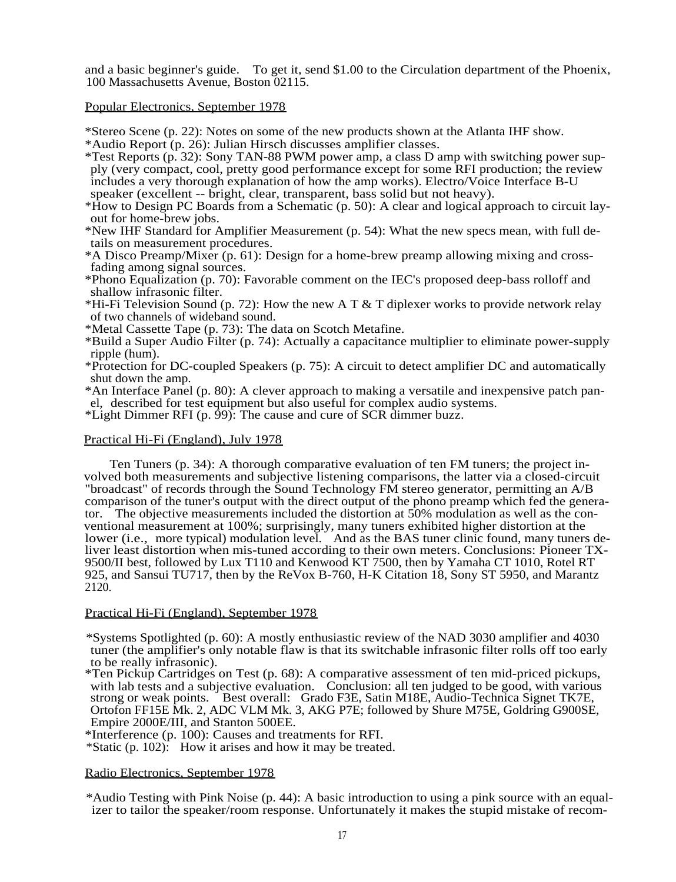and a basic beginner's guide. To get it, send \$1.00 to the Circulation department of the Phoenix, 100 Massachusetts Avenue, Boston 02115.

## Popular Electronics, September 1978

\*Stereo Scene (p. 22): Notes on some of the new products shown at the Atlanta IHF show.

- \*Audio Report (p. 26): Julian Hirsch discusses amplifier classes.
- \*Test Reports (p. 32): Sony TAN-88 PWM power amp, a class D amp with switching power supply (very compact, cool, pretty good performance except for some RFI production; the review includes a very thorough explanation of how the amp works). Electro/Voice Interface B-U speaker (excellent -- bright, clear, transparent, bass solid but not heavy).
- \*How to Design PC Boards from a Schematic (p. 50): A clear and logical approach to circuit layout for home-brew jobs.
- \*New IHF Standard for Amplifier Measurement (p. 54): What the new specs mean, with full details on measurement procedures.
- \*A Disco Preamp/Mixer (p. 61): Design for a home-brew preamp allowing mixing and crossfading among signal sources.
- \*Phono Equalization (p. 70): Favorable comment on the IEC's proposed deep-bass rolloff and shallow infrasonic filter.
- \*Hi-Fi Television Sound (p. 72): How the new A T & T diplexer works to provide network relay of two channels of wideband sound.
- \*Metal Cassette Tape (p. 73): The data on Scotch Metafine.
- \*Build a Super Audio Filter (p. 74): Actually a capacitance multiplier to eliminate power-supply ripple (hum).
- \*Protection for DC-coupled Speakers (p. 75): A circuit to detect amplifier DC and automatically shut down the amp.
- \*An Interface Panel (p. 80): A clever approach to making a versatile and inexpensive patch panel, described for test equipment but also useful for complex audio systems.
- \*Light Dimmer RFI (p. 99): The cause and cure of SCR dimmer buzz.

## Practical Hi-Fi (England), July 1978

Ten Tuners (p. 34): A thorough comparative evaluation of ten FM tuners; the project involved both measurements and subjective listening comparisons, the latter via a closed-circuit "broadcast" of records through the Sound Technology FM stereo generator, permitting an A/B comparison of the tuner's output with the direct output of the phono preamp which fed the generator. The objective measurements included the distortion at 50% modulation as well as the conventional measurement at 100%; surprisingly, many tuners exhibited higher distortion at the lower (i.e., more typical) modulation level. And as the BAS tuner clinic found, many tuners deliver least distortion when mis-tuned according to their own meters. Conclusions: Pioneer TX-9500/II best, followed by Lux T110 and Kenwood KT 7500, then by Yamaha CT 1010, Rotel RT 925, and Sansui TU717, then by the ReVox B-760, H-K Citation 18, Sony ST 5950, and Marantz 2120.

## Practical Hi-Fi (England), September 1978

\*Systems Spotlighted (p. 60): A mostly enthusiastic review of the NAD 3030 amplifier and 4030 tuner (the amplifier's only notable flaw is that its switchable infrasonic filter rolls off too early to be really infrasonic).

\*Ten Pickup Cartridges on Test (p. 68): A comparative assessment of ten mid-priced pickups, with lab tests and a subjective evaluation. Conclusion: all ten judged to be good, with various strong or weak points. Best overall: Grado F3E, Satin M18E, Audio-Technica Signet TK7E, Ortofon FF15E Mk. 2, ADC VLM Mk. 3, AKG P7E; followed by Shure M75E, Goldring G900SE, Empire 2000E/III, and Stanton 500EE.

\*Interference (p. 100): Causes and treatments for RFI.

\*Static (p. 102): How it arises and how it may be treated.

#### Radio Electronics, September 1978

\*Audio Testing with Pink Noise (p. 44): A basic introduction to using a pink source with an equalizer to tailor the speaker/room response. Unfortunately it makes the stupid mistake of recom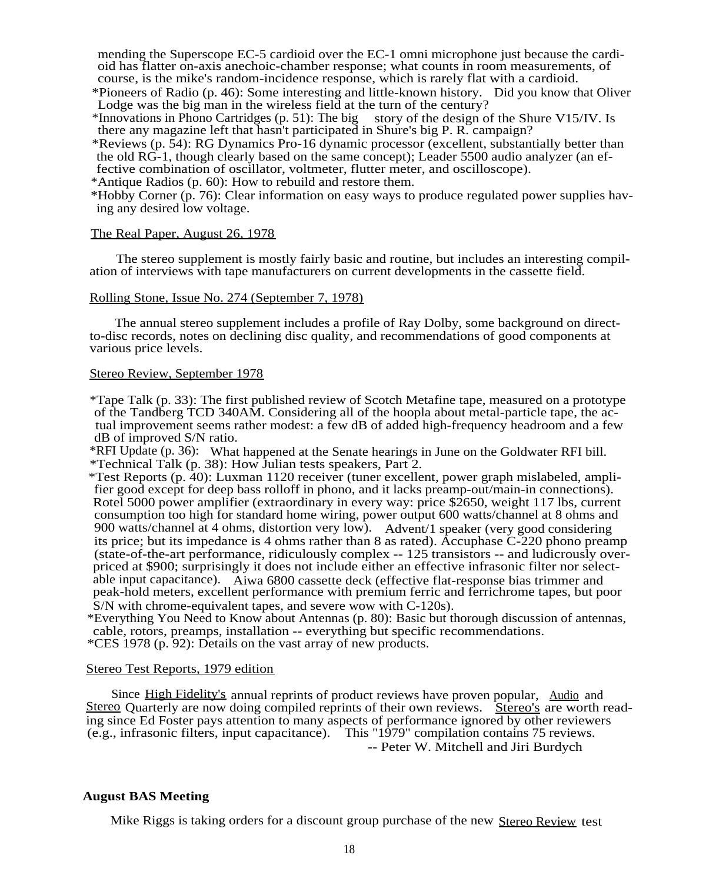mending the Superscope EC-5 cardioid over the EC-1 omni microphone just because the cardioid has flatter on-axis anechoic-chamber response; what counts in room measurements, of course, is the mike's random-incidence response, which is rarely flat with a cardioid.

\*Pioneers of Radio (p. 46): Some interesting and little-known history. Did you know that Oliver Lodge was the big man in the wireless field at the turn of the century?

\*Innovations in Phono Cartridges (p. 51): The big story of the design of the Shure V15/IV. Is there any magazine left that hasn't participated in Shure's big P. R. campaign?

\*Reviews (p. 54): RG Dynamics Pro-16 dynamic processor (excellent, substantially better than the old RG-1, though clearly based on the same concept); Leader 5500 audio analyzer (an effective combination of oscillator, voltmeter, flutter meter, and oscilloscope).

\*Antique Radios (p. 60): How to rebuild and restore them.

\*Hobby Corner (p. 76): Clear information on easy ways to produce regulated power supplies having any desired low voltage.

## The Real Paper, August 26, 1978

The stereo supplement is mostly fairly basic and routine, but includes an interesting compilation of interviews with tape manufacturers on current developments in the cassette field.

## Rolling Stone, Issue No. 274 (September 7, 1978)

The annual stereo supplement includes a profile of Ray Dolby, some background on directto-disc records, notes on declining disc quality, and recommendations of good components at various price levels.

#### Stereo Review, September 1978

\*Tape Talk (p. 33): The first published review of Scotch Metafine tape, measured on a prototype of the Tandberg TCD 340AM. Considering all of the hoopla about metal-particle tape, the actual improvement seems rather modest: a few dB of added high-frequency headroom and a few dB of improved S/N ratio.

\*RFI Update (p. 36): What happened at the Senate hearings in June on the Goldwater RFI bill. \*Technical Talk (p. 38): How Julian tests speakers, Part 2.

\*Test Reports (p. 40): Luxman 1120 receiver (tuner excellent, power graph mislabeled, amplifier good except for deep bass rolloff in phono, and it lacks preamp-out/main-in connections). Rotel 5000 power amplifier (extraordinary in every way: price \$2650, weight 117 lbs, current consumption too high for standard home wiring, power output 600 watts/channel at 8 ohms and 900 watts/channel at 4 ohms, distortion very low). Advent/1 speaker (very good considering its price; but its impedance is 4 ohms rather than 8 as rated). Accuphase C-220 phono preamp (state-of-the-art performance, ridiculously complex -- 125 transistors -- and ludicrously overpriced at \$900; surprisingly it does not include either an effective infrasonic filter nor selectable input capacitance). Aiwa 6800 cassette deck (effective flat-response bias trimmer and peak-hold meters, excellent performance with premium ferric and ferrichrome tapes, but poor S/N with chrome-equivalent tapes, and severe wow with C-120s).

\*Everything You Need to Know about Antennas (p. 80): Basic but thorough discussion of antennas, cable, rotors, preamps, installation -- everything but specific recommendations. \*CES 1978 (p. 92): Details on the vast array of new products.

## Stereo Test Reports, 1979 edition

Since High Fidelity's annual reprints of product reviews have proven popular, Audio and Stereo Quarterly are now doing compiled reprints of their own reviews. Stereo's are worth reading since Ed Foster pays attention to many aspects of performance ignored by other reviewers (e.g., infrasonic filters, input capacitance). This "1979" compilation contains 75 reviews.

-- Peter W. Mitchell and Jiri Burdych

## **August BAS Meeting**

Mike Riggs is taking orders for a discount group purchase of the new Stereo Review test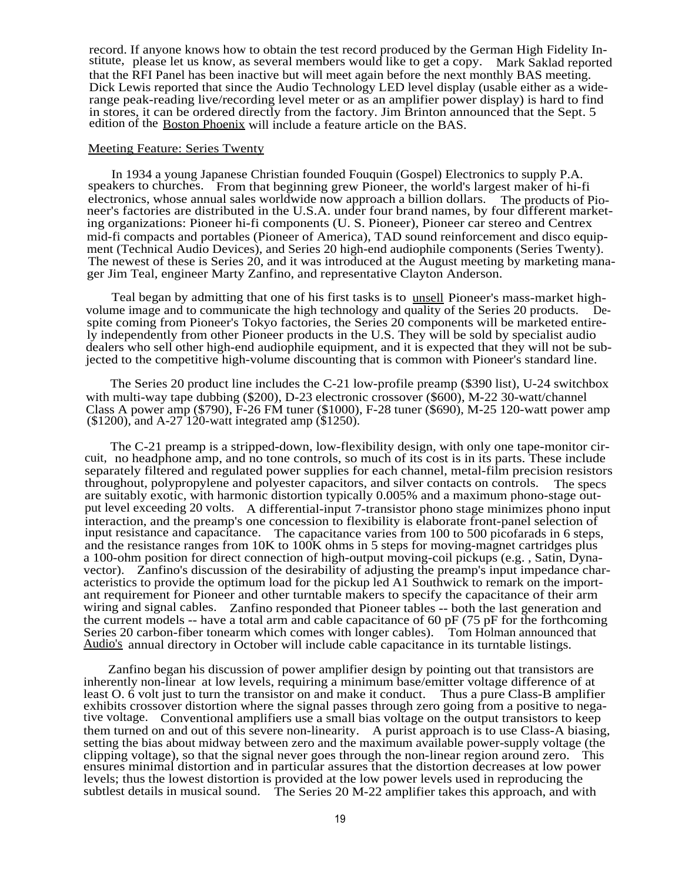record. If anyone knows how to obtain the test record produced by the German High Fidelity Institute, please let us know, as several members would like to get a copy. Mark Saklad reported that the RFI Panel has been inactive but will meet again before the next monthly BAS meeting. Dick Lewis reported that since the Audio Technology LED level display (usable either as a widerange peak-reading live/recording level meter or as an amplifier power display) is hard to find in stores, it can be ordered directly from the factory. Jim Brinton announced that the Sept. 5 edition of the Boston Phoenix will include a feature article on the BAS.

#### Meeting Feature: Series Twenty

In 1934 a young Japanese Christian founded Fouquin (Gospel) Electronics to supply P.A. speakers to churches. From that beginning grew Pioneer, the world's largest maker of hi-fi electronics, whose annual sales worldwide now approach a billion dollars. The products of Pioneer's factories are distributed in the U.S.A. under four brand names, by four different marketing organizations: Pioneer hi-fi components (U. S. Pioneer), Pioneer car stereo and Centrex mid-fi compacts and portables (Pioneer of America), TAD sound reinforcement and disco equipment (Technical Audio Devices), and Series 20 high-end audiophile components (Series Twenty). The newest of these is Series 20, and it was introduced at the August meeting by marketing manager Jim Teal, engineer Marty Zanfino, and representative Clayton Anderson.

Teal began by admitting that one of his first tasks is to unsell Pioneer's mass-market highvolume image and to communicate the high technology and quality of the Series 20 products. Despite coming from Pioneer's Tokyo factories, the Series 20 components will be marketed entirely independently from other Pioneer products in the U.S. They will be sold by specialist audio dealers who sell other high-end audiophile equipment, and it is expected that they will not be subjected to the competitive high-volume discounting that is common with Pioneer's standard line.

The Series 20 product line includes the C-21 low-profile preamp (\$390 list), U-24 switchbox with multi-way tape dubbing (\$200), D-23 electronic crossover (\$600), M-22 30-watt/channel Class A power amp (\$790), F-26 FM tuner (\$1000), F-28 tuner (\$690), M-25 120-watt power amp  $(1200)$ , and A-27 120-watt integrated amp  $(1250)$ .

The C-21 preamp is a stripped-down, low-flexibility design, with only one tape-monitor circuit, no headphone amp, and no tone controls, so much of its cost is in its parts. These include separately filtered and regulated power supplies for each channel, metal-film precision resistors throughout, polypropylene and polyester capacitors, and silver contacts on controls. The specs are suitably exotic, with harmonic distortion typically 0.005% and a maximum phono-stage output level exceeding 20 volts. A differential-input 7-transistor phono stage minimizes phono input interaction, and the preamp's one concession to flexibility is elaborate front-panel selection of input resistance and capacitance. The capacitance varies from 100 to 500 picofarads in 6 steps, and the resistance ranges from  $10K$  to  $100K$  ohms in 5 steps for moving-magnet cartridges plus a 100-ohm position for direct connection of high-output moving-coil pickups (e.g. , Satin, Dynavector). Zanfino's discussion of the desirability of adjusting the preamp's input impedance characteristics to provide the optimum load for the pickup led A1 Southwick to remark on the important requirement for Pioneer and other turntable makers to specify the capacitance of their arm wiring and signal cables. Zanfino responded that Pioneer tables -- both the last generation and the current models -- have a total arm and cable capacitance of 60 pF (75 pF for the forthcoming Series 20 carbon-fiber tonearm which comes with longer cables). Tom Holman announced that Audio's annual directory in October will include cable capacitance in its turntable listings.

Zanfino began his discussion of power amplifier design by pointing out that transistors are inherently non-linear at low levels, requiring a minimum base/emitter voltage difference of at least O. 6 volt just to turn the transistor on and make it conduct. Thus a pure Class-B amplifier exhibits crossover distortion where the signal passes through zero going from a positive to negative voltage. Conventional amplifiers use a small bias voltage on the output transistors to keep them turned on and out of this severe non-linearity. A purist approach is to use Class-A biasing, setting the bias about midway between zero and the maximum available power-supply voltage (the clipping voltage), so that the signal never goes through the non-linear region around zero. This ensures minimal distortion and in particular assures that the distortion decreases at low power levels; thus the lowest distortion is provided at the low power levels used in reproducing the subtlest details in musical sound. The Series 20 M-22 amplifier takes this approach, and with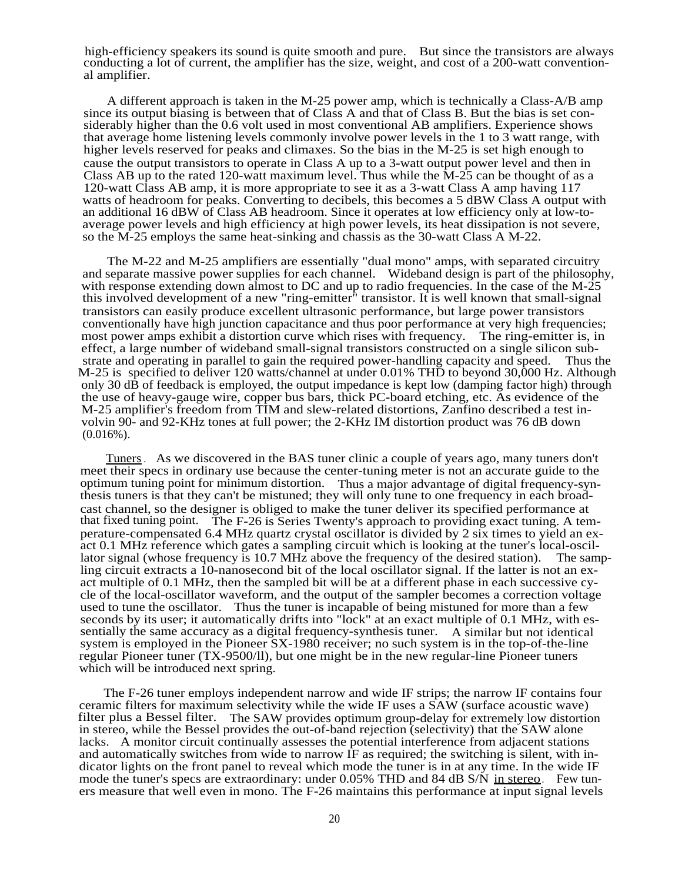high-efficiency speakers its sound is quite smooth and pure. But since the transistors are always conducting a lot of current, the amplifier has the size, weight, and cost of a 200-watt conventional amplifier.

A different approach is taken in the M-25 power amp, which is technically a Class-A/B amp since its output biasing is between that of Class A and that of Class B. But the bias is set considerably higher than the 0.6 volt used in most conventional AB amplifiers. Experience shows that average home listening levels commonly involve power levels in the 1 to 3 watt range, with higher levels reserved for peaks and climaxes. So the bias in the M-25 is set high enough to cause the output transistors to operate in Class A up to a 3-watt output power level and then in Class AB up to the rated 120-watt maximum level. Thus while the  $\hat{M}$ -25 can be thought of as a 120-watt Class AB amp, it is more appropriate to see it as a 3-watt Class A amp having 117 watts of headroom for peaks. Converting to decibels, this becomes a 5 dBW Class A output with an additional 16 dBW of Class AB headroom. Since it operates at low efficiency only at low-toaverage power levels and high efficiency at high power levels, its heat dissipation is not severe, so the M-25 employs the same heat-sinking and chassis as the 30-watt Class A M-22.

The M-22 and M-25 amplifiers are essentially "dual mono" amps, with separated circuitry and separate massive power supplies for each channel. Wideband design is part of the philosophy, with response extending down almost to DC and up to radio frequencies. In the case of the  $M-25$ this involved development of a new "ring-emitter" transistor. It is well known that small-signal transistors can easily produce excellent ultrasonic performance, but large power transistors conventionally have high junction capacitance and thus poor performance at very high frequencies; most power amps exhibit a distortion curve which rises with frequency. The ring-emitter is, in effect, a large number of wideband small-signal transistors constructed on a single silicon substrate and operating in parallel to gain the required power-handling capacity and speed. Thus the M-25 is specified to deliver 120 watts/channel at under 0.01% THD to beyond 30,000 Hz. Although only 30 dB of feedback is employed, the output impedance is kept low (damping factor high) through the use of heavy-gauge wire, copper bus bars, thick PC-board etching, etc. As evidence of the M-25 amplifier's freedom from TIM and slew-related distortions, Zanfino described a test involvin 90- and 92-KHz tones at full power; the 2-KHz IM distortion product was 76 dB down  $(0.016\%)$ .

Tuners. As we discovered in the BAS tuner clinic a couple of years ago, many tuners don't meet their specs in ordinary use because the center-tuning meter is not an accurate guide to the optimum tuning point for minimum distortion. Thus a major advantage of digital frequency-synthesis tuners is that they can't be mistuned; they will only tune to one frequency in each broadcast channel, so the designer is obliged to make the tuner deliver its specified performance at that fixed tuning point. The F-26 is Series Twenty's approach to providing exact tuning. A temperature-compensated 6.4 MHz quartz crystal oscillator is divided by 2 six times to yield an exact 0.1 MHz reference which gates a sampling circuit which is looking at the tuner's local-oscillator signal (whose frequency is 10.7 MHz above the frequency of the desired station). The sampling circuit extracts a 10-nanosecond bit of the local oscillator signal. If the latter is not an exact multiple of 0.1 MHz, then the sampled bit will be at a different phase in each successive cycle of the local-oscillator waveform, and the output of the sampler becomes a correction voltage used to tune the oscillator. Thus the tuner is incapable of being mistuned for more than a few seconds by its user; it automatically drifts into "lock" at an exact multiple of 0.1 MHz, with essentially the same accuracy as a digital frequency-synthesis tuner. A similar but not identical system is employed in the Pioneer SX-1980 receiver; no such system is in the top-of-the-line regular Pioneer tuner (TX-9500/ll), but one might be in the new regular-line Pioneer tuners which will be introduced next spring.

The F-26 tuner employs independent narrow and wide IF strips; the narrow IF contains four ceramic filters for maximum selectivity while the wide IF uses a SAW (surface acoustic wave) filter plus a Bessel filter. The SAW provides optimum group-delay for extremely low distortion in stereo, while the Bessel provides the out-of-band rejection (selectivity) that the SAW alone lacks. A monitor circuit continually assesses the potential interference from adjacent stations and automatically switches from wide to narrow IF as required; the switching is silent, with indicator lights on the front panel to reveal which mode the tuner is in at any time. In the wide IF mode the tuner's specs are extraordinary: under 0.05% THD and 84 dB S/N in stereo. Few tuners measure that well even in mono. The F-26 maintains this performance at input signal levels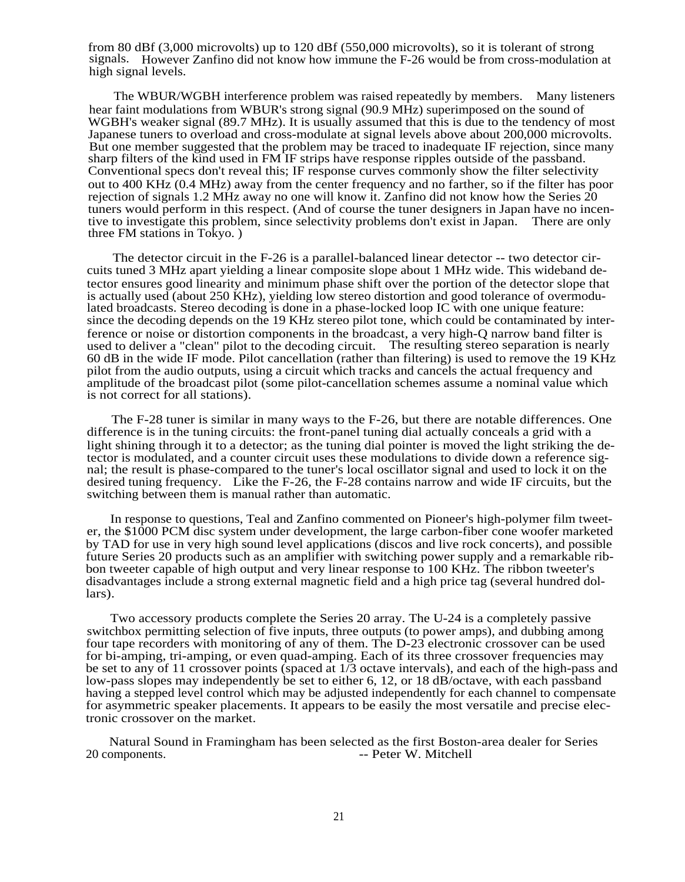from 80 dBf (3,000 microvolts) up to 120 dBf (550,000 microvolts), so it is tolerant of strong signals. However Zanfino did not know how immune the F-26 would be from cross-modulation at high signal levels.

The WBUR/WGBH interference problem was raised repeatedly by members. Many listeners hear faint modulations from WBUR's strong signal (90.9 MHz) superimposed on the sound of WGBH's weaker signal (89.7 MHz). It is usually assumed that this is due to the tendency of most Japanese tuners to overload and cross-modulate at signal levels above about 200,000 microvolts. But one member suggested that the problem may be traced to inadequate IF rejection, since many sharp filters of the kind used in FM IF strips have response ripples outside of the passband. Conventional specs don't reveal this; IF response curves commonly show the filter selectivity out to 400 KHz (0.4 MHz) away from the center frequency and no farther, so if the filter has poor rejection of signals 1.2 MHz away no one will know it. Zanfino did not know how the Series 20 tuners would perform in this respect. (And of course the tuner designers in Japan have no incentive to investigate this problem, since selectivity problems don't exist in Japan. There are only three FM stations in Tokyo. )

The detector circuit in the F-26 is a parallel-balanced linear detector -- two detector circuits tuned 3 MHz apart yielding a linear composite slope about 1 MHz wide. This wideband detector ensures good linearity and minimum phase shift over the portion of the detector slope that is actually used (about 250 KHz), yielding low stereo distortion and good tolerance of overmodulated broadcasts. Stereo decoding is done in a phase-locked loop IC with one unique feature: since the decoding depends on the 19 KHz stereo pilot tone, which could be contaminated by interference or noise or distortion components in the broadcast, a very high-Q narrow band filter is used to deliver a "clean" pilot to the decoding circuit. The resulting stereo separation is nearly 60 dB in the wide IF mode. Pilot cancellation (rather than filtering) is used to remove the 19 KHz pilot from the audio outputs, using a circuit which tracks and cancels the actual frequency and amplitude of the broadcast pilot (some pilot-cancellation schemes assume a nominal value which is not correct for all stations).

The F-28 tuner is similar in many ways to the F-26, but there are notable differences. One difference is in the tuning circuits: the front-panel tuning dial actually conceals a grid with a light shining through it to a detector; as the tuning dial pointer is moved the light striking the detector is modulated, and a counter circuit uses these modulations to divide down a reference signal; the result is phase-compared to the tuner's local oscillator signal and used to lock it on the desired tuning frequency. Like the F-26, the F-28 contains narrow and wide IF circuits, but the switching between them is manual rather than automatic.

In response to questions, Teal and Zanfino commented on Pioneer's high-polymer film tweeter, the \$1000 PCM disc system under development, the large carbon-fiber cone woofer marketed by TAD for use in very high sound level applications (discos and live rock concerts), and possible future Series 20 products such as an amplifier with switching power supply and a remarkable ribbon tweeter capable of high output and very linear response to 100 KHz. The ribbon tweeter's disadvantages include a strong external magnetic field and a high price tag (several hundred dollars).

Two accessory products complete the Series 20 array. The U-24 is a completely passive switchbox permitting selection of five inputs, three outputs (to power amps), and dubbing among four tape recorders with monitoring of any of them. The D-23 electronic crossover can be used for bi-amping, tri-amping, or even quad-amping. Each of its three crossover frequencies may be set to any of 11 crossover points (spaced at 1/3 octave intervals), and each of the high-pass and low-pass slopes may independently be set to either 6, 12, or 18 dB/octave, with each passband having a stepped level control which may be adjusted independently for each channel to compensate for asymmetric speaker placements. It appears to be easily the most versatile and precise electronic crossover on the market.

Natural Sound in Framingham has been selected as the first Boston-area dealer for Series 20 components.  $\overline{\phantom{a}}$  -- Peter W. Mitchell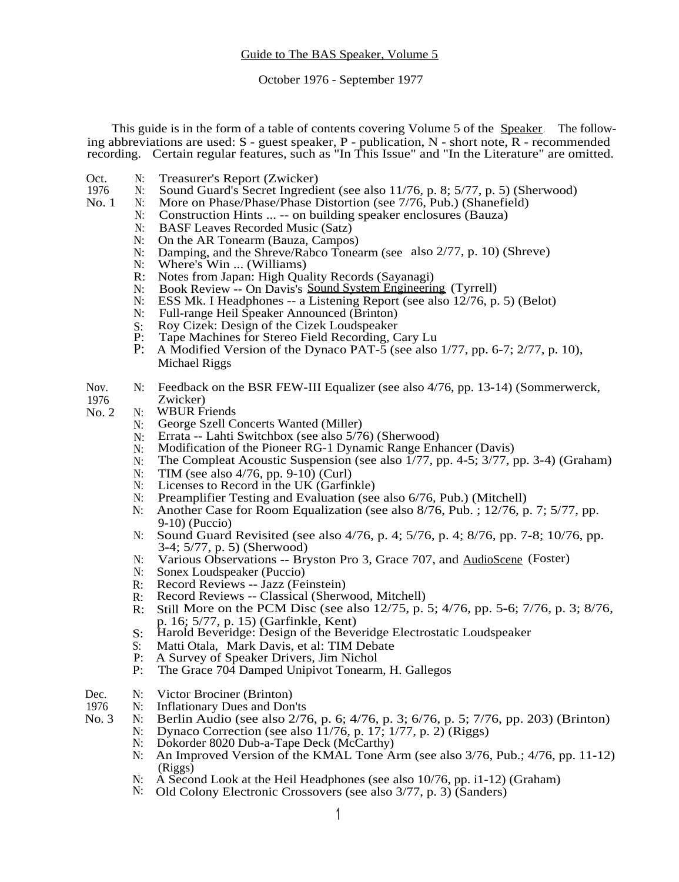October 1976 - September 1977

This guide is in the form of a table of contents covering Volume 5 of the Speaker. The following abbreviations are used: S - guest speaker, P - publication, N - short note, R - recommended recording. Certain regular features, such as "In This Issue" and "In the Literature" are omitted.

- Oct. N: Treasurer's Report (Zwicker)<br>1976 N: Sound Guard's Secret Ingredia
- 1976 N: Sound Guard's Secret Ingredient (see also 11/76, p. 8; 5/77, p. 5) (Sherwood)<br>No. 1 N: More on Phase/Phase/Phase Distortion (see 7/76, Pub.) (Shanefield)
- More on Phase/Phase/Phase Distortion (see 7/76, Pub.) (Shanefield)
	- N: Construction Hints ... -- on building speaker enclosures (Bauza)
		- N: BASF Leaves Recorded Music (Satz)
		- N: On the AR Tonearm (Bauza, Campos)<br>N: Damping, and the Shreve/Rabco Tonea
		- N: Damping, and the Shreve/Rabco Tonearm (see also 2/77, p. 10) (Shreve)<br>N: Where's Win ... (Williams)
		- N: Where's Win ... (Williams)<br>R: Notes from Japan: High Qua
		- R: Notes from Japan: High Quality Records (Sayanagi)<br>N: Book Review -- On Davis's Sound System Engineerin
		- N: Book Review -- On Davis's Sound System Engineering (Tyrrell)<br>N: ESS Mk. I Headphones -- a Listening Report (see also 12/76, p
		- ESS Mk. I Headphones -- a Listening Report (see also 12/76, p. 5) (Belot)
		- N: Full-range Heil Speaker Announced (Brinton)
		- S: Roy Cizek: Design of the Cizek Loudspeaker<br>P: Tape Machines for Stereo Field Recording. C
		- P: Tape Machines for Stereo Field Recording, Cary Lu
		- A Modified Version of the Dynaco PAT-5 (see also 1/77, pp. 6-7; 2/77, p. 10), Michael Riggs
- Nov. N: Feedback on the BSR FEW-III Equalizer (see also 4/76, pp. 13-14) (Sommerwerck, 1976 Zwicker)
- No. 2 N: WBUR Friends
	- N: George Szell Concerts Wanted (Miller)
	- N: Errata -- Lahti Switchbox (see also 5/76) (Sherwood)
	- N: Modification of the Pioneer RG-1 Dynamic Range Enhancer (Davis)
	- N: The Compleat Acoustic Suspension (see also 1/77, pp. 4-5; 3/77, pp. 3-4) (Graham)
	- N: TIM (see also 4/76, pp. 9-10) (Curl)<br>N: Licenses to Record in the UK (Garfin
	- N: Licenses to Record in the UK (Garfinkle)<br>N: Preamplifier Testing and Evaluation (see
	- Preamplifier Testing and Evaluation (see also 6/76, Pub.) (Mitchell)
	- N: Another Case for Room Equalization (see also 8/76, Pub. ; 12/76, p. 7; 5/77, pp. 9-10) (Puccio)
	- N: Sound Guard Revisited (see also 4/76, p. 4; 5/76, p. 4; 8/76, pp. 7-8; 10/76, pp. 3-4; 5/77, p. 5) (Sherwood)
	- N: Various Observations -- Bryston Pro 3, Grace 707, and AudioScene (Foster)
	- N: Sonex Loudspeaker (Puccio)
	- R: Record Reviews -- Jazz (Feinstein)
	- R: Record Reviews -- Classical (Sherwood, Mitchell)<br>R: Still More on the PCM Disc (see also 12/75, p.
	- Still More on the PCM Disc (see also 12/75, p. 5; 4/76, pp. 5-6; 7/76, p. 3; 8/76, p. 16; 5/77, p. 15) (Garfinkle, Kent)
	- S: Harold Beveridge: Design of the Beveridge Electrostatic Loudspeaker
	- S: Matti Otala, Mark Davis, et al: TIM Debate
	- P: A Survey of Speaker Drivers, Jim Nichol<br>P: The Grace 704 Damped Unipivot Tonearn
	- The Grace 704 Damped Unipivot Tonearm, H. Gallegos
- Dec. N: Victor Brociner (Brinton)<br>1976 N: Inflationary Dues and Don
- 1976 N: Inflationary Dues and Don'ts<br>No. 3 N: Berlin Audio (see also 2/7)
	- N: Berlin Audio (see also 2/76, p. 6; 4/76, p. 3; 6/76, p. 5; 7/76, pp. 203) (Brinton)
		- N: Dynaco Correction (see also  $11/76$ , p.  $17$ ;  $1/77$ , p.  $2)$  (Riggs)<br>N: Dokorder 8020 Dub-a-Tape Deck (McCarthy)
			- Dokorder 8020 Dub-a-Tape Deck (McCarthy)
			- N: An Improved Version of the KMAL Tone Arm (see also 3/76, Pub.; 4/76, pp. 11-12) (Riggs)
			- N: A Second Look at the Heil Headphones (see also 10/76, pp. i1-12) (Graham)
		- N: Old Colony Electronic Crossovers (see also 3/77, p. 3) (Sanders)
- 
- 
-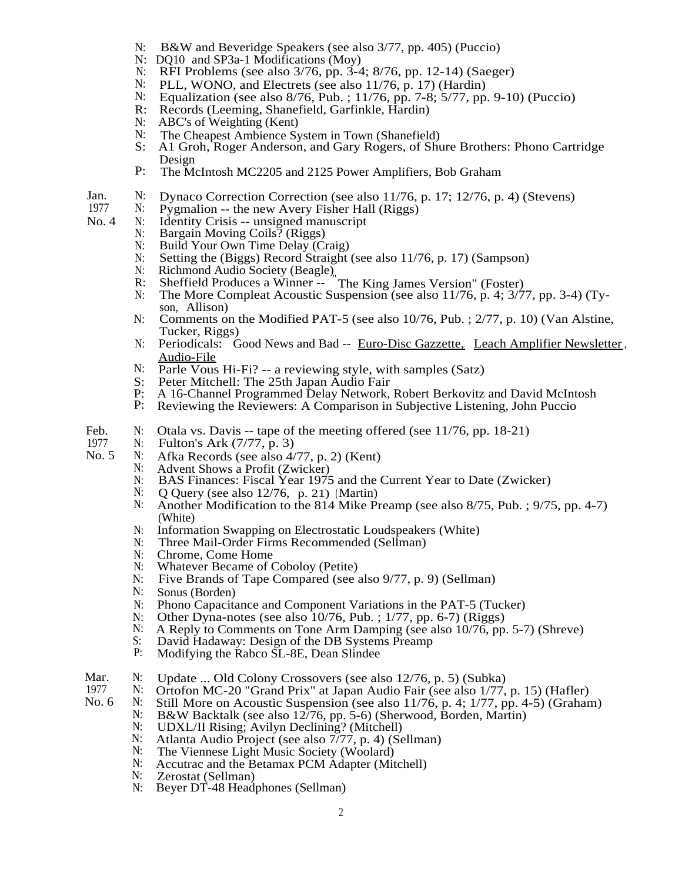- N: B&W and Beveridge Speakers (see also 3/77, pp. 405) (Puccio)
- N: DQ10 and SP3a-1 Modifications (Moy)
- N: RFI Problems (see also 3/76, pp. 3-4; 8/76, pp. 12-14) (Saeger)
- N: PLL, WONO, and Electrets (see also  $11/76$ , p. 17) (Hardin)<br>N: Equalization (see also  $8/76$ , Pub. :  $11/76$ , pp. 7-8:  $5/77$ , pp.
- N: Equalization (see also 8/76, Pub. ; 11/76, pp. 7-8; 5/77, pp. 9-10) (Puccio)<br>R: Records (Leeming, Shanefield, Garfinkle, Hardin)
- Records (Leeming, Shanefield, Garfinkle, Hardin)
- N: ABC's of Weighting (Kent)<br>N: The Cheapest Ambience Sy
- N: The Cheapest Ambience System in Town (Shanefield) S: A1 Groh, Roger Anderson, and Gary Rogers, of Shi
- A1 Groh, Roger Anderson, and Gary Rogers, of Shure Brothers: Phono Cartridge Design
- P: The McIntosh MC2205 and 2125 Power Amplifiers, Bob Graham
- Jan. N: Dynaco Correction Correction (see also 11/76, p. 17; 12/76, p. 4) (Stevens)<br>1977 N: Pygmalion -- the new Avery Fisher Hall (Riggs)
- 1977  $N:$  Pygmalion -- the new Avery Fisher Hall (Riggs)<br>No. 4  $N:$  Identity Crisis -- unsigned manuscript
	- N: Identity Crisis -- unsigned manuscript<br>N: Bargain Moving Coils? (Riggs)
		- Bargain Moving Coils? (Riggs)
		- N: Build Your Own Time Delay (Craig)
		- N: Setting the (Biggs) Record Straight (see also 11/76, p. 17) (Sampson)
		- N: Richmond Audio Society (Beagle)
		- R: Richmond Addio Society (Beagle).<br>R: Sheffield Produces a Winner -- The King James Version" (Foster)
		- N: The More Compleat Acoustic Suspension (see also 11/76, p. 4; 3/77, pp. 3-4) (Tyson, Allison)
		- N: Comments on the Modified PAT-5 (see also 10/76, Pub. ; 2/77, p. 10) (Van Alstine, Tucker, Riggs)
		- N: Periodicals: Good News and Bad -- Euro-Disc Gazzette, Leach Amplifier Newsletter, Audio-File
		- N: Parle Vous Hi-Fi? -- a reviewing style, with samples (Satz) S: Peter Mitchell: The 25th Japan Audio Fair
		- S: Peter Mitchell: The 25th Japan Audio Fair<br>P: A 16-Channel Programmed Delay Network.
		- P: A 16-Channel Programmed Delay Network, Robert Berkovitz and David McIntosh
		- Reviewing the Reviewers: A Comparison in Subjective Listening, John Puccio
- Feb. N: Otala vs. Davis -- tape of the meeting offered (see  $11/76$ , pp. 18-21)<br>1977 N: Fulton's Ark  $(7/77, p, 3)$
- 1977 N: Fulton's Ark (7/77, p. 3)<br>No. 5 N: Afka Records (see also 4/
	- N: Afka Records (see also  $4/77$ , p. 2) (Kent)<br>N: Advent Shows a Profit (Zwicker)
	- N: Advent Shows a Profit (Zwicker)<br>N: BAS Finances: Fiscal Year 197
		- N: BAS Finances: Fiscal Year 1975 and the Current Year to Date (Zwicker)<br>N: O Ouery (see also 12/76, p. 21) (Martin)
		- N: Q Query (see also 12/76, p. 21) (Martin)<br>N: Another Modification to the 814 Mike P
		- Another Modification to the 814 Mike Preamp (see also 8/75, Pub. ; 9/75, pp. 4-7) (White)
		- N: Information Swapping on Electrostatic Loudspeakers (White)
		- N: Three Mail-Order Firms Recommended (Sellman)
		- N: Chrome, Come Home
		- N: Whatever Became of Coboloy (Petite)
		- N: Five Brands of Tape Compared (see also 9/77, p. 9) (Sellman)<br>N: Sonus (Borden)
		- Sonus (Borden)
		- N: Phono Capacitance and Component Variations in the PAT-5 (Tucker)
		- N: Other Dyna-notes (see also  $10/76$ , Pub. ;  $1/77$ , pp. 6-7) (Riggs)<br>N: A Reply to Comments on Tone Arm Damping (see also  $10/76$  pp.
		- N: A Reply to Comments on Tone Arm Damping (see also 10/76, pp. 5-7) (Shreve)<br>S: David Hadaway: Design of the DB Systems Preamp
		- S: David Hadaway: Design of the DB Systems Preamp<br>P: Modifying the Rabco SI-8F Dean Slindee
		- Modifying the Rabco SL-8E, Dean Slindee
- Mar. N: Update ... Old Colony Crossovers (see also 12/76, p. 5) (Subka)<br>1977 N: Ortofon MC-20 "Grand Prix" at Japan Audio Fair (see also 1/77.
- 1977 N: Ortofon MC-20 "Grand Prix" at Japan Audio Fair (see also 1/77, p. 15) (Hafler)<br>No. 6 N: Still More on Acoustic Suspension (see also 11/76, p. 4: 1/77, pp. 4-5) (Grahar
	- N: Still More on Acoustic Suspension (see also 11/76, p. 4; 1/77, pp. 4-5) (Graham)<br>N: B&W Backtalk (see also 12/76 pp. 5-6) (Sherwood Borden Martin)
		- N: B&W Backtalk (see also 12/76, pp. 5-6) (Sherwood, Borden, Martin)<br>N: IDXL/ILBising: Avilyn Declining? (Mitchell)
			- N: UDXL/II Rising; Avilyn Declining? (Mitchell)<br>N: Atlanta Audio Project (see also 7/77 n 4) (Se
			- N: Atlanta Audio Project (see also 7/77, p. 4) (Sellman)<br>N: The Viennese Light Music Society (Woolard)
			- The Viennese Light Music Society (Woolard)
			- N: Accutrac and the Betamax PCM Adapter (Mitchell)<br>N: Zerostat (Sellman)
			- N: Zerostat (Sellman)<br>N: Bever DT-48 Head
			- Beyer DT-48 Headphones (Sellman)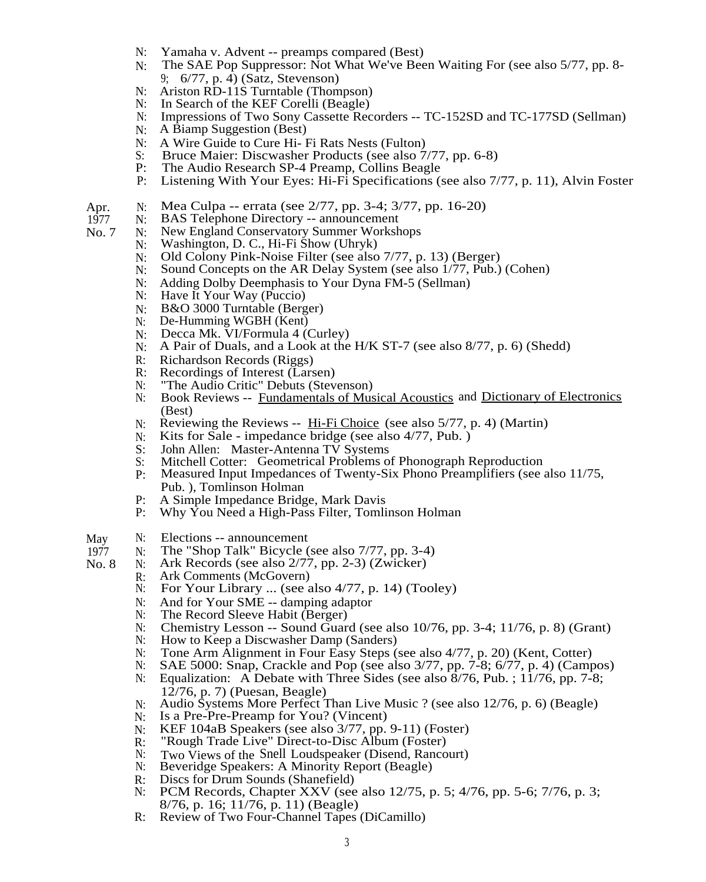- N: Yamaha v. Advent -- preamps compared (Best)
- N: The SAE Pop Suppressor: Not What We've Been Waiting For (see also 5/77, pp. 8- 9; 6/77, p. 4) (Satz, Stevenson)
- N: Ariston RD-11S Turntable (Thompson)
- N: In Search of the KEF Corelli (Beagle)
- N: Impressions of Two Sony Cassette Recorders -- TC-152SD and TC-177SD (Sellman)
- N: A Biamp Suggestion (Best)
- N: A Wire Guide to Cure Hi- Fi Rats Nests (Fulton)<br>S: Bruce Maier: Discwasher Products (see also 7
- S: Bruce Maier: Discwasher Products (see also 7/77, pp. 6-8)<br>P: The Audio Research SP-4 Preamp. Collins Beagle
- P: The Audio Research SP-4 Preamp, Collins Beagle<br>P: Listening With Your Eyes: Hi-Fi Specifications (
- Listening With Your Eyes: Hi-Fi Specifications (see also 7/77, p. 11), Alvin Foster
- Apr. N: Mea Culpa -- errata (see 2/77, pp. 3-4; 3/77, pp. 16-20)
- 1977 N: BAS Telephone Directory -- announcement
- No. 7 N: New England Conservatory Summer Workshops<br>N: Washington, D. C., Hi-Fi Show (Uhryk)
	- N: Washington, D. C., Hi-Fi Show (Uhryk)<br>N: Old Colony Pink-Noise Filter (see also
		- Old Colony Pink-Noise Filter (see also 7/77, p. 13) (Berger)
		- N: Sound Concepts on the AR Delay System (see also 1/77, Pub.) (Cohen)
		- N: Adding Dolby Deemphasis to Your Dyna FM-5 (Sellman)<br>N: Have It Your Way (Puccio)
		- Have It Your Way (Puccio)
		- N: B&O 3000 Turntable (Berger)
		- N: De-Humming WGBH (Kent)
		- N: Decca Mk.  $VI/Formula 4 (Curley)$ <br>N: A Pair of Duals, and a Look at the
		- A Pair of Duals, and a Look at the H/K ST-7 (see also 8/77, p. 6) (Shedd)
		- R: Richardson Records (Riggs)<br>R: Recordings of Interest (Lars
		- Recordings of Interest (Larsen)
		-
		- N: "The Audio Critic" Debuts (Stevenson)<br>N: Book Reviews -- Fundamentals of Mus Book Reviews -- Fundamentals of Musical Acoustics and Dictionary of Electronics (Best)
		- $N:$  Reviewing the Reviews -- Hi-Fi Choice (see also 5/77, p. 4) (Martin)
		- N: Kits for Sale impedance bridge (see also 4/77, Pub. )
		- S: John Allen: Master-Antenna TV Systems<br>S: Mitchell Cotter: Geometrical Problems o
		- S: Mitchell Cotter: Geometrical Problems of Phonograph Reproduction P: Measured Input Impedances of Twenty-Six Phono Preamplifiers (see a
		- P: Measured Input Impedances of Twenty-Six Phono Preamplifiers (see also 11/75, Pub. ), Tomlinson Holman
		- P: A Simple Impedance Bridge, Mark Davis<br>P: Why You Need a High-Pass Filter, Tomli
		- Why You Need a High-Pass Filter, Tomlinson Holman
- May N: Elections -- announcement<br>1977 N: The "Shop Talk" Bicycle (
	- The "Shop Talk" Bicycle (see also 7/77, pp. 3-4)
- No. 8 N: Ark Records (see also 2/77, pp. 2-3) (Zwicker)<br>R: Ark Comments (McGovern)
	- R: Ark Comments (McGovern)<br>N: For Your Library ... (see a
		- For Your Library ... (see also 4/77, p. 14) (Tooley)
		- N: And for Your SME -- damping adaptor
		- N: The Record Sleeve Habit (Berger)<br>N: Chemistry Lesson -- Sound Guar
		- Chemistry Lesson -- Sound Guard (see also  $10/76$ , pp. 3-4;  $11/76$ , p. 8) (Grant)
		- N: How to Keep a Discwasher Damp (Sanders)<br>N: Tone Arm Alignment in Four Easy Steps (
		- N: Tone Arm Alignment in Four Easy Steps (see also 4/77, p. 20) (Kent, Cotter)<br>N: SAE 5000: Snap, Crackle and Pop (see also 3/77, pp. 7-8; 6/77, p. 4) (Camp
		- SAE 5000: Snap, Crackle and Pop (see also 3/77, pp. 7-8; 6/77, p. 4) (Campos)
		- N: Equalization: A Debate with Three Sides (see also 8/76, Pub. ; 11/76, pp. 7-8; 12/76, p. 7) (Puesan, Beagle)
		- N: Audio Systems More Perfect Than Live Music ? (see also 12/76, p. 6) (Beagle)
		- N: Is a Pre-Pre-Preamp for You? (Vincent)
		- N: KEF 104aB Speakers (see also 3/77, pp. 9-11) (Foster)
		- R: "Rough Trade Live" Direct-to-Disc Album (Foster)<br>N: Two Views of the Snell Loudspeaker (Disend, Ranco
		- N: Two Views of the Snell Loudspeaker (Disend, Rancourt)<br>N: Beveridge Speakers: A Minority Report (Beagle)
		- Beveridge Speakers: A Minority Report (Beagle)
		- R: Discs for Drum Sounds (Shanefield)<br>N: PCM Records. Chapter XXV (see
		- PCM Records, Chapter XXV (see also 12/75, p. 5; 4/76, pp. 5-6; 7/76, p. 3; 8/76, p. 16; 11/76, p. 11) (Beagle)
		- R: Review of Two Four-Channel Tapes (DiCamillo)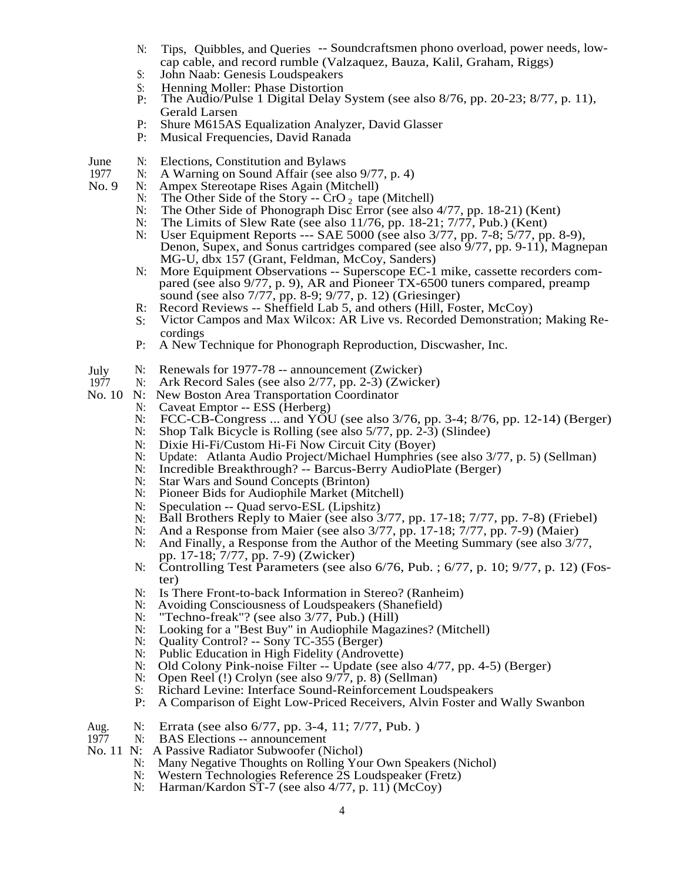- N: Tips, Quibbles, and Queries -- Soundcraftsmen phono overload, power needs, lowcap cable, and record rumble (Valzaquez, Bauza, Kalil, Graham, Riggs)
- S: John Naab: Genesis Loudspeakers
- S: Henning Moller: Phase Distortion<br>P: The Audio/Pulse 1 Digital Delay 3
- The Audio/Pulse 1 Digital Delay System (see also  $8/76$ , pp. 20-23;  $8/77$ , p. 11), Gerald Larsen
- P: Shure M615AS Equalization Analyzer, David Glasser
- P: Musical Frequencies, David Ranada
- June N: Elections, Constitution and Bylaws<br>1977 N: A Warning on Sound Affair (see al.
- 1977 N: A Warning on Sound Affair (see also 9/77, p. 4)<br>No. 9 N: Ampex Stereotape Rises Again (Mitchell)
	- Ampex Stereotape Rises Again (Mitchell)
		- N: The Other Side of the Story --  $C<sub>1</sub>O<sub>2</sub>$  tape (Mitchell)
		- N: The Other Side of Phonograph Disc Error (see also 4/77, pp. 18-21) (Kent)<br>N: The Limits of Slew Rate (see also 11/76, pp. 18-21; 7/77, Pub.) (Kent)
		- The Limits of Slew Rate (see also  $11/76$ , pp. 18-21;  $7/77$ , Pub.) (Kent)
		- N: User Equipment Reports --- SAE 5000 (see also 3/77, pp. 7-8; 5/77, pp. 8-9), Denon, Supex, and Sonus cartridges compared (see also 9/77, pp. 9-11), Magnepan MG-U, dbx 157 (Grant, Feldman, McCoy, Sanders)
		- N: More Equipment Observations -- Superscope EC-1 mike, cassette recorders compared (see also 9/77, p. 9), AR and Pioneer TX-6500 tuners compared, preamp sound (see also 7/77, pp. 8-9; 9/77, p. 12) (Griesinger)
		- R: Record Reviews -- Sheffield Lab 5, and others (Hill, Foster, McCoy)
		- S: Victor Campos and Max Wilcox: AR Live vs. Recorded Demonstration; Making Recordings
		- P: A New Technique for Phonograph Reproduction, Discwasher, Inc.
- 
- July N: Renewals for 1977-78 -- announcement (Zwicker) 1977 N: Ark Record Sales (see also 2/77, pp. 2-3) (Zwick 1977 N: Ark Record Sales (see also 2/77, pp. 2-3) (Zwicker)<br>No. 10 N: New Boston Area Transportation Coordinator
- N: New Boston Area Transportation Coordinator
	- N: Caveat Emptor -- ESS (Herberg)
	- N: FCC-CB-Congress ... and YOU (see also 3/76, pp. 3-4; 8/76, pp. 12-14) (Berger)
	- N: Shop Talk Bicycle is Rolling (see also 5/77, pp. 2-3) (Slindee)
	- N: Dixie Hi-Fi/Custom Hi-Fi Now Circuit City (Boyer)
	- N: Update: Atlanta Audio Project/Michael Humphries (see also 3/77, p. 5) (Sellman)
	- N: Incredible Breakthrough? -- Barcus-Berry AudioPlate (Berger)<br>N: Star Wars and Sound Concepts (Brinton)
	- Star Wars and Sound Concepts (Brinton)
	- N: Pioneer Bids for Audiophile Market (Mitchell)
	- N: Speculation -- Quad servo-ESL (Lipshitz)<br>N: Ball Brothers Reply to Maier (see also 3
	- N: Ball Brothers Reply to Maier (see also  $3/77$ , pp. 17-18;  $7/77$ , pp. 7-8) (Friebel)<br>N: And a Response from Maier (see also  $3/77$ , pp. 17-18;  $7/77$ , pp. 7-9) (Maier)
	- And a Response from Maier (see also 3/77, pp. 17-18; 7/77, pp. 7-9) (Maier)
	- N: And Finally, a Response from the Author of the Meeting Summary (see also 3/77, pp. 17-18; 7/77, pp. 7-9) (Zwicker)
	- N: Controlling Test Parameters (see also 6/76, Pub. ; 6/77, p. 10; 9/77, p. 12) (Foster)
	- N: Is There Front-to-back Information in Stereo? (Ranheim)
	- N: Avoiding Consciousness of Loudspeakers (Shanefield)<br>N: "Techno-freak"? (see also 3/77, Pub.) (Hill)
	- N: "Techno-freak"? (see also 3/77, Pub.) (Hill)<br>N: Looking for a "Best Buy" in Audiophile Maga
	- N: Looking for a "Best Buy" in Audiophile Magazines? (Mitchell)<br>N: Quality Control? -- Sony TC-355 (Berger)
	- N: Quality Control? -- Sony TC-355 (Berger)<br>N: Public Education in High Fidelity (Androve
	- Public Education in High Fidelity (Androvette)
	- N: Old Colony Pink-noise Filter -- Update (see also 4/77, pp. 4-5) (Berger)
	- N: Open Reel (!) Crolyn (see also 9/77, p. 8) (Sellman)<br>S: Richard Levine: Interface Sound-Reinforcement Lou
	- Richard Levine: Interface Sound-Reinforcement Loudspeakers
	- P: A Comparison of Eight Low-Priced Receivers, Alvin Foster and Wally Swanbon
- Aug. N: Errata (see also 6/77, pp. 3-4, 11; 7/77, Pub.)<br>1977 N: BAS Elections -- announcement
- N: BAS Elections -- announcement
- No. 11 N: A Passive Radiator Subwoofer (Nichol)
	- N: Many Negative Thoughts on Rolling Your Own Speakers (Nichol)
		- N: Western Technologies Reference 2S Loudspeaker (Fretz)
		- N: Harman/Kardon ST-7 (see also 4/77, p. 11) (McCoy)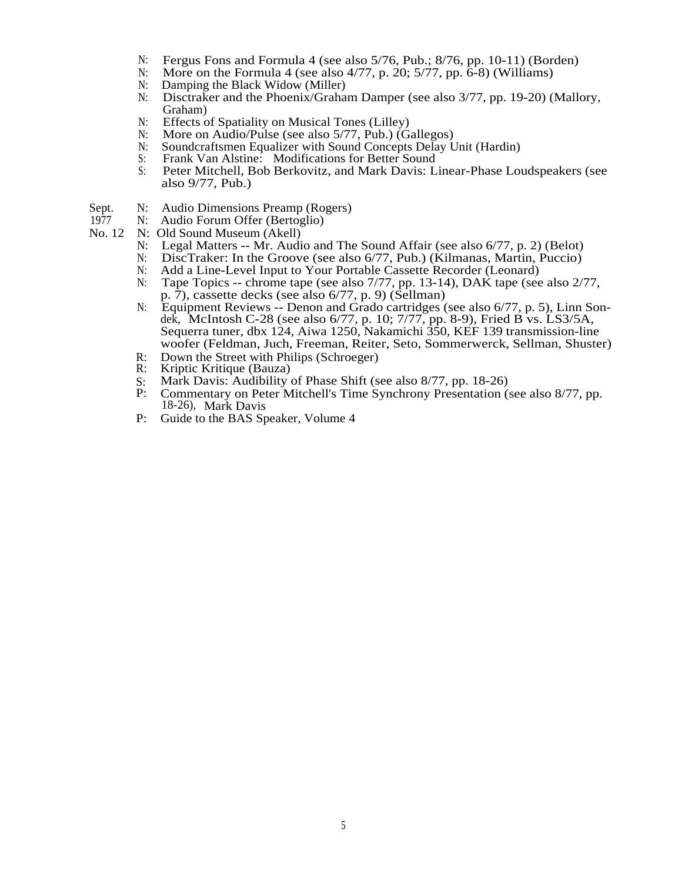- N: Fergus Fons and Formula 4 (see also  $5/76$ , Pub.;  $8/76$ , pp.  $10-11$ ) (Borden)<br>N: More on the Formula 4 (see also  $4/77$ , p.  $20$ :  $5/77$ , pp.  $6-8$ ) (Williams)
- More on the Formula 4 (see also  $4/77$ , p. 20;  $5/77$ , pp.  $6-8$ ) (Williams)
- N: Damping the Black Widow (Miller)<br>N: Disctraker and the Phoenix/Graha
- Disctraker and the Phoenix/Graham Damper (see also 3/77, pp. 19-20) (Mallory, Graham)
- N: Effects of Spatiality on Musical Tones (Lilley)<br>N: More on Audio/Pulse (see also 5/77, Pub.) (G
- N: More on Audio/Pulse (see also 5/77, Pub.) (Gallegos)<br>N: Soundcraftsmen Equalizer with Sound Concepts Delay I
- N: Soundcraftsmen Equalizer with Sound Concepts Delay Unit (Hardin)<br>S: Frank Van Alstine: Modifications for Better Sound
- S: Frank Van Alstine: Modifications for Better Sound<br>S: Peter Mitchell, Bob Berkovitz, and Mark Davis: L
- Peter Mitchell, Bob Berkovitz, and Mark Davis: Linear-Phase Loudspeakers (see also 9/77, Pub.)
- Sept. N: Audio Dimensions Preamp (Rogers)<br>1977 N: Audio Forum Offer (Bertoglio)
	- N: Audio Forum Offer (Bertoglio)
- No. 12 N: Old Sound Museum (Akell)
	- N: Legal Matters -- Mr. Audio and The Sound Affair (see also 6/77, p. 2) (Belot)<br>N: DiscTraker: In the Groove (see also 6/77, Pub.) (Kilmanas, Martin, Puccio)
	- N: DiscTraker: In the Groove (see also 6/77, Pub.) (Kilmanas, Martin, Puccio)<br>N: Add a Line-Level Input to Your Portable Cassette Recorder (Leonard)
	- Add a Line-Level Input to Your Portable Cassette Recorder (Leonard)
	- N: Tape Topics -- chrome tape (see also 7/77, pp. 13-14), DAK tape (see also 2/77, p. 7), cassette decks (see also 6/77, p. 9) (Sellman)
	- N: Equipment Reviews -- Denon and Grado cartridges (see also 6/77, p. 5), Linn Sondek, McIntosh C-28 (see also 6/77, p. 10; 7/77, pp. 8-9), Fried B vs. LS3/5A, Sequerra tuner, dbx 124, Aiwa 1250, Nakamichi 350, KEF 139 transmission-line woofer (Feldman, Juch, Freeman, Reiter, Seto, Sommerwerck, Sellman, Shuster)
	- R: Down the Street with Philips (Schroeger)<br>R: Kriptic Kritique (Bauza)
	- R: Kriptic Kritique (Bauza)
	- S: Mark Davis: Audibility of Phase Shift (see also 8/77, pp. 18-26)<br>P: Commentary on Peter Mitchell's Time Synchrony Presentation (
	- P: Commentary on Peter Mitchell's Time Synchrony Presentation (see also 8/77, pp. 18-26), Mark Davis
	- P: Guide to the BAS Speaker, Volume 4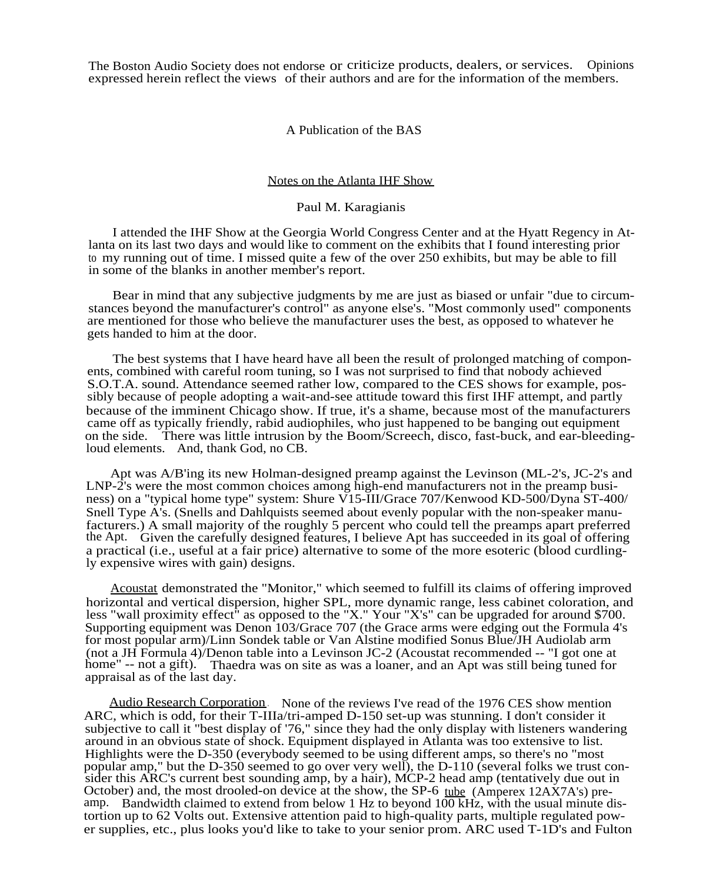The Boston Audio Society does not endorse or criticize products, dealers, or services. Opinions expressed herein reflect the views of their authors and are for the information of the members.

A Publication of the BAS

## Notes on the Atlanta IHF Show

## Paul M. Karagianis

I attended the IHF Show at the Georgia World Congress Center and at the Hyatt Regency in Atlanta on its last two days and would like to comment on the exhibits that I found interesting prior to my running out of time. I missed quite a few of the over 250 exhibits, but may be able to fill in some of the blanks in another member's report.

Bear in mind that any subjective judgments by me are just as biased or unfair "due to circumstances beyond the manufacturer's control" as anyone else's. "Most commonly used" components are mentioned for those who believe the manufacturer uses the best, as opposed to whatever he gets handed to him at the door.

The best systems that I have heard have all been the result of prolonged matching of components, combined with careful room tuning, so I was not surprised to find that nobody achieved S.O.T.A. sound. Attendance seemed rather low, compared to the CES shows for example, possibly because of people adopting a wait-and-see attitude toward this first IHF attempt, and partly because of the imminent Chicago show. If true, it's a shame, because most of the manufacturers came off as typically friendly, rabid audiophiles, who just happened to be banging out equipment on the side. There was little intrusion by the Boom/Screech, disco, fast-buck, and ear-bleedingloud elements. And, thank God, no CB.

Apt was A/B'ing its new Holman-designed preamp against the Levinson (ML-2's, JC-2's and LNP-2's were the most common choices among high-end manufacturers not in the preamp business) on a "typical home type" system: Shure V15-III/Grace 707/Kenwood KD-500/Dyna ST-400/ Snell Type A's. (Snells and Dahlquists seemed about evenly popular with the non-speaker manufacturers.) A small majority of the roughly 5 percent who could tell the preamps apart preferred the Apt. Given the carefully designed features, I believe Apt has succeeded in its goal of offering a practical (i.e., useful at a fair price) alternative to some of the more esoteric (blood curdlingly expensive wires with gain) designs.

Acoustat demonstrated the "Monitor," which seemed to fulfill its claims of offering improved horizontal and vertical dispersion, higher SPL, more dynamic range, less cabinet coloration, and less "wall proximity effect" as opposed to the "X." Your "X's" can be upgraded for around \$700. Supporting equipment was Denon 103/Grace 707 (the Grace arms were edging out the Formula 4's for most popular arm)/Linn Sondek table or Van Alstine modified Sonus Blue/JH Audiolab arm (not a JH Formula 4)/Denon table into a Levinson JC-2 (Acoustat recommended -- "I got one at home" -- not a gift). Thaedra was on site as was a loaner, and an Apt was still being tuned for appraisal as of the last day.

Audio Research Corporation . None of the reviews I've read of the 1976 CES show mention ARC, which is odd, for their T-IIIa/tri-amped D-150 set-up was stunning. I don't consider it subjective to call it "best display of '76," since they had the only display with listeners wandering around in an obvious state of shock. Equipment displayed in Atlanta was too extensive to list. Highlights were the D-350 (everybody seemed to be using different amps, so there's no "most popular amp," but the D-350 seemed to go over very well), the D-110 (several folks we trust consider this ARC's current best sounding amp, by a hair), MCP-2 head amp (tentatively due out in October) and, the most drooled-on device at the show, the SP-6 tube (Amperex 12AX7A's) preamp. Bandwidth claimed to extend from below 1 Hz to beyond  $100$  kHz, with the usual minute distortion up to 62 Volts out. Extensive attention paid to high-quality parts, multiple regulated power supplies, etc., plus looks you'd like to take to your senior prom. ARC used T-1D's and Fulton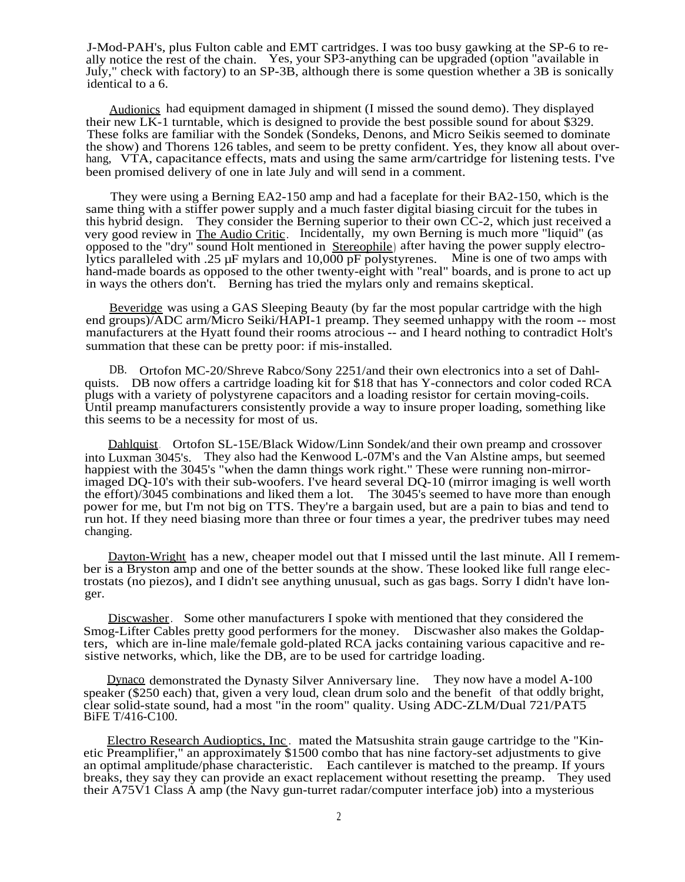J-Mod-PAH's, plus Fulton cable and EMT cartridges. I was too busy gawking at the SP-6 to really notice the rest of the chain. Yes, your SP3-anything can be upgraded (option "available in July," check with factory) to an SP-3B, although there is some question whether a 3B is sonically identical to a 6.

Audionics had equipment damaged in shipment (I missed the sound demo). They displayed their new LK-1 turntable, which is designed to provide the best possible sound for about \$329. These folks are familiar with the Sondek (Sondeks, Denons, and Micro Seikis seemed to dominate the show) and Thorens 126 tables, and seem to be pretty confident. Yes, they know all about overhang, VTA, capacitance effects, mats and using the same arm/cartridge for listening tests. I've been promised delivery of one in late July and will send in a comment.

They were using a Berning EA2-150 amp and had a faceplate for their BA2-150, which is the same thing with a stiffer power supply and a much faster digital biasing circuit for the tubes in this hybrid design. They consider the Berning superior to their own CC-2, which just received a very good review in The Audio Critic. Incidentally, my own Berning is much more "liquid" (as opposed to the "dry" sound Holt mentioned in Stereophile) after having the power supply electrolytics paralleled with .25 µF mylars and 10,000 pF polystyrenes. Mine is one of two amps with hand-made boards as opposed to the other twenty-eight with "real" boards, and is prone to act up in ways the others don't. Berning has tried the mylars only and remains skeptical.

Beveridge was using a GAS Sleeping Beauty (by far the most popular cartridge with the high end groups)/ADC arm/Micro Seiki/HAPI-1 preamp. They seemed unhappy with the room -- most manufacturers at the Hyatt found their rooms atrocious -- and I heard nothing to contradict Holt's summation that these can be pretty poor: if mis-installed.

DB. Ortofon MC-20/Shreve Rabco/Sony 2251/and their own electronics into a set of Dahlquists. DB now offers a cartridge loading kit for \$18 that has Y-connectors and color coded RCA plugs with a variety of polystyrene capacitors and a loading resistor for certain moving-coils. Until preamp manufacturers consistently provide a way to insure proper loading, something like this seems to be a necessity for most of us.

Dahlquist. Ortofon SL-15E/Black Widow/Linn Sondek/and their own preamp and crossover into Luxman 3045's. They also had the Kenwood L-07M's and the Van Alstine amps, but seemed happiest with the 3045's "when the damn things work right." These were running non-mirrorimaged DQ-10's with their sub-woofers. I've heard several DQ-10 (mirror imaging is well worth the effort)/3045 combinations and liked them a lot. The 3045's seemed to have more than enough power for me, but I'm not big on TTS. They're a bargain used, but are a pain to bias and tend to run hot. If they need biasing more than three or four times a year, the predriver tubes may need changing.

Dayton-Wright has a new, cheaper model out that I missed until the last minute. All I remember is a Bryston amp and one of the better sounds at the show. These looked like full range electrostats (no piezos), and I didn't see anything unusual, such as gas bags. Sorry I didn't have longer.

Discwasher. Some other manufacturers I spoke with mentioned that they considered the Smog-Lifter Cables pretty good performers for the money. Discwasher also makes the Goldapters, which are in-line male/female gold-plated RCA jacks containing various capacitive and resistive networks, which, like the DB, are to be used for cartridge loading.

Dynaco demonstrated the Dynasty Silver Anniversary line. They now have a model A-100 speaker (\$250 each) that, given a very loud, clean drum solo and the benefit of that oddly bright, clear solid-state sound, had a most "in the room" quality. Using ADC-ZLM/Dual 721/PAT5 BiFE T/416-C100.

Electro Research Audioptics, Inc . mated the Matsushita strain gauge cartridge to the "Kinetic Preamplifier," an approximately \$1500 combo that has nine factory-set adjustments to give an optimal amplitude/phase characteristic. Each cantilever is matched to the preamp. If yours breaks, they say they can provide an exact replacement without resetting the preamp. They used their A75V1 Class A amp (the Navy gun-turret radar/computer interface job) into a mysterious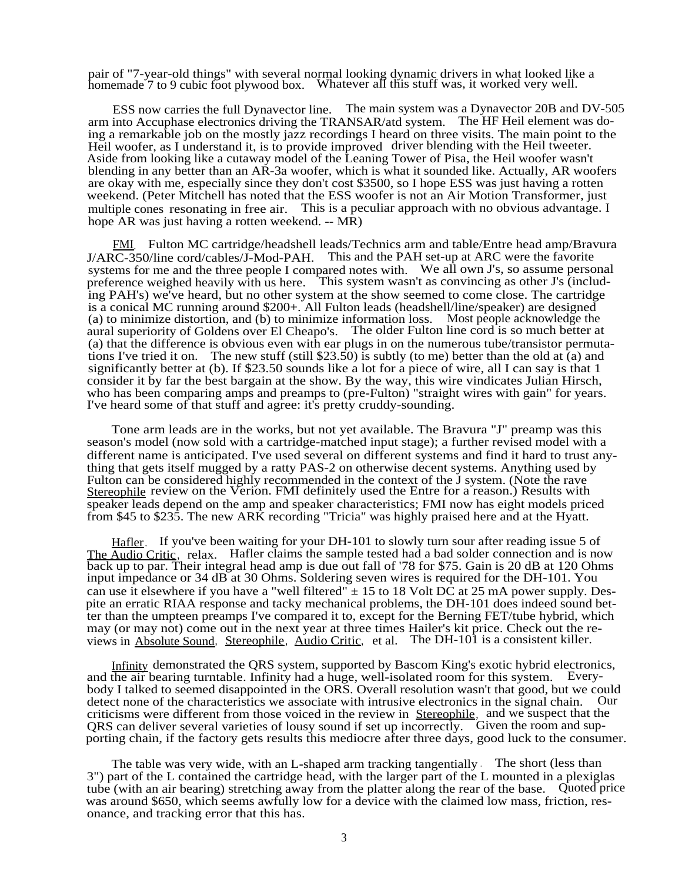pair of "7-year-old things" with several normal looking dynamic drivers in what looked like a homemade 7 to 9 cubic foot plywood box. Whatever all this stuff was, it worked very well.

ESS now carries the full Dynavector line. The main system was a Dynavector 20B and DV-505 arm into Accuphase electronics driving the TRANSAR/atd system. The HF Heil element was doing a remarkable job on the mostly jazz recordings I heard on three visits. The main point to the Heil woofer, as I understand it, is to provide improved driver blending with the Heil tweeter. Aside from looking like a cutaway model of the Leaning Tower of Pisa, the Heil woofer wasn't blending in any better than an AR-3a woofer, which is what it sounded like. Actually, AR woofers are okay with me, especially since they don't cost \$3500, so I hope ESS was just having a rotten weekend. (Peter Mitchell has noted that the ESS woofer is not an Air Motion Transformer, just multiple cones resonating in free air. This is a peculiar approach with no obvious advantage. I hope AR was just having a rotten weekend. -- MR)

FMI. Fulton MC cartridge/headshell leads/Technics arm and table/Entre head amp/Bravura J/ARC-350/line cord/cables/J-Mod-PAH. This and the PAH set-up at ARC were the favorite systems for me and the three people I compared notes with. We all own J's, so assume personal preference weighed heavily with us here. This system wasn't as convincing as other J's (including PAH's) we've heard, but no other system at the show seemed to come close. The cartridge is a conical MC running around \$200+. All Fulton leads (headshell/line/speaker) are designed (a) to minimize distortion, and (b) to minimize information loss. Most people acknowledge the aural superiority of Goldens over El Cheapo's. The older Fulton line cord is so much better at (a) that the difference is obvious even with ear plugs in on the numerous tube/transistor permutations I've tried it on. The new stuff (still \$23.50) is subtly (to me) better than the old at (a) and significantly better at (b). If \$23.50 sounds like a lot for a piece of wire, all I can say is that 1 consider it by far the best bargain at the show. By the way, this wire vindicates Julian Hirsch, who has been comparing amps and preamps to (pre-Fulton) "straight wires with gain" for years. I've heard some of that stuff and agree: it's pretty cruddy-sounding.

Tone arm leads are in the works, but not yet available. The Bravura "J" preamp was this season's model (now sold with a cartridge-matched input stage); a further revised model with a different name is anticipated. I've used several on different systems and find it hard to trust anything that gets itself mugged by a ratty PAS-2 on otherwise decent systems. Anything used by Fulton can be considered highly recommended in the context of the J system. (Note the rave Stereophile review on the Verion. FMI definitely used the Entre for a reason.) Results with speaker leads depend on the amp and speaker characteristics; FMI now has eight models priced from \$45 to \$235. The new ARK recording "Tricia" was highly praised here and at the Hyatt.

Hafler. If you've been waiting for your DH-101 to slowly turn sour after reading issue 5 of The Audio Critic, relax. Hafler claims the sample tested had a bad solder connection and is now back up to par. Their integral head amp is due out fall of '78 for \$75. Gain is 20 dB at 120 Ohms input impedance or 34 dB at 30 Ohms. Soldering seven wires is required for the DH-101. You can use it elsewhere if you have a "well filtered"  $\pm$  15 to 18 Volt DC at 25 mA power supply. Despite an erratic RIAA response and tacky mechanical problems, the DH-101 does indeed sound better than the umpteen preamps I've compared it to, except for the Berning FET/tube hybrid, which may (or may not) come out in the next year at three times Hailer's kit price. Check out the reviews in Absolute Sound, Stereophile, Audio Critic, et al. The DH-101 is a consistent killer.

Infinity demonstrated the QRS system, supported by Bascom King's exotic hybrid electronics, and the air bearing turntable. Infinity had a huge, well-isolated room for this system. Everybody I talked to seemed disappointed in the ORS. Overall resolution wasn't that good, but we could detect none of the characteristics we associate with intrusive electronics in the signal chain. Our criticisms were different from those voiced in the review in Stereophile, and we suspect that the QRS can deliver several varieties of lousy sound if set up incorrectly. Given the room and supporting chain, if the factory gets results this mediocre after three days, good luck to the consumer.

The table was very wide, with an L-shaped arm tracking tangentially . The short (less than 3") part of the L contained the cartridge head, with the larger part of the L mounted in a plexiglas tube (with an air bearing) stretching away from the platter along the rear of the base. Quoted price was around \$650, which seems awfully low for a device with the claimed low mass, friction, resonance, and tracking error that this has.